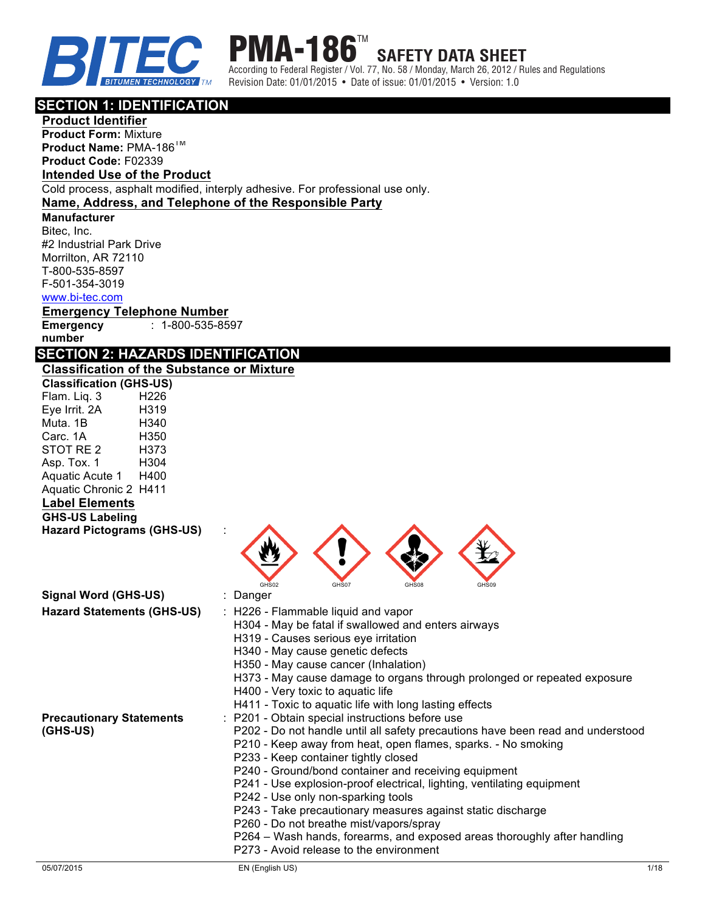

**PMA-186 SAFETY DATA SHEET**

According to Federal Register / Vol. 77, No. 58 / Monday, March 26, 2012 / Rules and Regulations Revision Date: 01/01/2015 • Date of issue: 01/01/2015 • Version: 1.0

### **SECTION 1: IDENTIFICATION**

**Product Identifier Product Form:** Mixture **Product Name:** PMA-186TM **Product Code:** F02339

## **Intended Use of the Product**

Cold process, asphalt modified, interply adhesive. For professional use only.

### **Name, Address, and Telephone of the Responsible Party**

#### **Manufacturer**

Bitec, Inc. #2 Industrial Park Drive Morrilton, AR 72110 T-800-535-8597 F-501-354-3019 www.bi-tec.com

**Emergency Telephone Number Emergency**  : 1-800-535-8597

**number**

## **SECTION 2: HAZARDS IDENTIFICATION**

| <b>Classification of the Substance or Mixture</b> |  |
|---------------------------------------------------|--|
| <b>Classification (GHS-US)</b>                    |  |

| <b>Classification (GHS-US)</b>              |      |                                                                                                                                                                                                                                                                                                                                                                                                                                                                                                                                                                                                                                                      |
|---------------------------------------------|------|------------------------------------------------------------------------------------------------------------------------------------------------------------------------------------------------------------------------------------------------------------------------------------------------------------------------------------------------------------------------------------------------------------------------------------------------------------------------------------------------------------------------------------------------------------------------------------------------------------------------------------------------------|
| Flam. Liq. 3                                | H226 |                                                                                                                                                                                                                                                                                                                                                                                                                                                                                                                                                                                                                                                      |
| Eye Irrit. 2A                               | H319 |                                                                                                                                                                                                                                                                                                                                                                                                                                                                                                                                                                                                                                                      |
| Muta. 1B                                    | H340 |                                                                                                                                                                                                                                                                                                                                                                                                                                                                                                                                                                                                                                                      |
| Carc. 1A                                    | H350 |                                                                                                                                                                                                                                                                                                                                                                                                                                                                                                                                                                                                                                                      |
| STOT RE 2                                   | H373 |                                                                                                                                                                                                                                                                                                                                                                                                                                                                                                                                                                                                                                                      |
| Asp. Tox. 1                                 | H304 |                                                                                                                                                                                                                                                                                                                                                                                                                                                                                                                                                                                                                                                      |
| Aquatic Acute 1                             | H400 |                                                                                                                                                                                                                                                                                                                                                                                                                                                                                                                                                                                                                                                      |
| Aquatic Chronic 2 H411                      |      |                                                                                                                                                                                                                                                                                                                                                                                                                                                                                                                                                                                                                                                      |
| <b>Label Elements</b>                       |      |                                                                                                                                                                                                                                                                                                                                                                                                                                                                                                                                                                                                                                                      |
| <b>GHS-US Labeling</b>                      |      |                                                                                                                                                                                                                                                                                                                                                                                                                                                                                                                                                                                                                                                      |
| <b>Hazard Pictograms (GHS-US)</b>           |      |                                                                                                                                                                                                                                                                                                                                                                                                                                                                                                                                                                                                                                                      |
|                                             |      | GHS02<br>GHS07<br>GHS08<br>GHS09                                                                                                                                                                                                                                                                                                                                                                                                                                                                                                                                                                                                                     |
| Signal Word (GHS-US)                        |      | : Danger                                                                                                                                                                                                                                                                                                                                                                                                                                                                                                                                                                                                                                             |
| <b>Hazard Statements (GHS-US)</b>           |      | : H226 - Flammable liquid and vapor<br>H304 - May be fatal if swallowed and enters airways<br>H319 - Causes serious eye irritation<br>H340 - May cause genetic defects<br>H350 - May cause cancer (Inhalation)<br>H373 - May cause damage to organs through prolonged or repeated exposure<br>H400 - Very toxic to aquatic life<br>H411 - Toxic to aquatic life with long lasting effects                                                                                                                                                                                                                                                            |
| <b>Precautionary Statements</b><br>(GHS-US) |      | : P201 - Obtain special instructions before use<br>P202 - Do not handle until all safety precautions have been read and understood<br>P210 - Keep away from heat, open flames, sparks. - No smoking<br>P233 - Keep container tightly closed<br>P240 - Ground/bond container and receiving equipment<br>P241 - Use explosion-proof electrical, lighting, ventilating equipment<br>P242 - Use only non-sparking tools<br>P243 - Take precautionary measures against static discharge<br>P260 - Do not breathe mist/vapors/spray<br>P264 - Wash hands, forearms, and exposed areas thoroughly after handling<br>P273 - Avoid release to the environment |
|                                             |      |                                                                                                                                                                                                                                                                                                                                                                                                                                                                                                                                                                                                                                                      |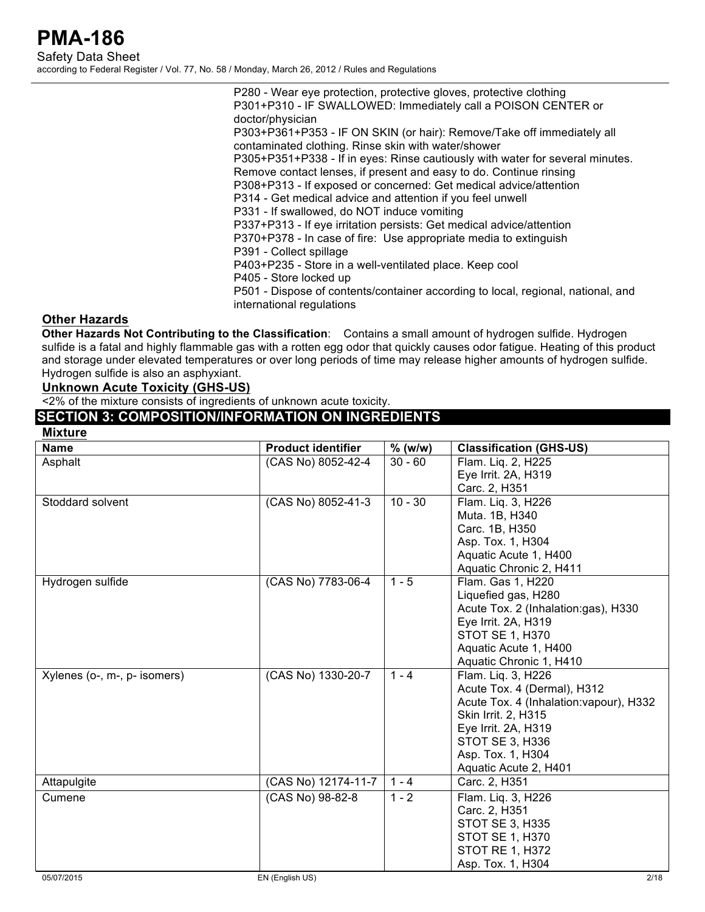P280 - Wear eye protection, protective gloves, protective clothing P301+P310 - IF SWALLOWED: Immediately call a POISON CENTER or doctor/physician P303+P361+P353 - IF ON SKIN (or hair): Remove/Take off immediately all contaminated clothing. Rinse skin with water/shower P305+P351+P338 - If in eyes: Rinse cautiously with water for several minutes. Remove contact lenses, if present and easy to do. Continue rinsing P308+P313 - If exposed or concerned: Get medical advice/attention P314 - Get medical advice and attention if you feel unwell P331 - If swallowed, do NOT induce vomiting P337+P313 - If eye irritation persists: Get medical advice/attention P370+P378 - In case of fire: Use appropriate media to extinguish P391 - Collect spillage P403+P235 - Store in a well-ventilated place. Keep cool P405 - Store locked up P501 - Dispose of contents/container according to local, regional, national, and international regulations

### **Other Hazards**

**Other Hazards Not Contributing to the Classification**: Contains a small amount of hydrogen sulfide. Hydrogen sulfide is a fatal and highly flammable gas with a rotten egg odor that quickly causes odor fatigue. Heating of this product and storage under elevated temperatures or over long periods of time may release higher amounts of hydrogen sulfide. Hydrogen sulfide is also an asphyxiant.

### **Unknown Acute Toxicity (GHS-US)**

<2% of the mixture consists of ingredients of unknown acute toxicity.

### **SECTION 3: COMPOSITION/INFORMATION ON INGREDIENTS**

| <b>Mixture</b>               |                           |           |                                         |
|------------------------------|---------------------------|-----------|-----------------------------------------|
| <b>Name</b>                  | <b>Product identifier</b> | $%$ (w/w) | <b>Classification (GHS-US)</b>          |
| Asphalt                      | (CAS No) 8052-42-4        | $30 - 60$ | Flam. Lig. 2, H225                      |
|                              |                           |           | Eye Irrit. 2A, H319                     |
|                              |                           |           | Carc. 2, H351                           |
| Stoddard solvent             | (CAS No) 8052-41-3        | $10 - 30$ | Flam. Lig. 3, H226                      |
|                              |                           |           | Muta. 1B, H340                          |
|                              |                           |           | Carc. 1B, H350                          |
|                              |                           |           | Asp. Tox. 1, H304                       |
|                              |                           |           | Aquatic Acute 1, H400                   |
|                              |                           |           | Aquatic Chronic 2, H411                 |
| Hydrogen sulfide             | (CAS No) 7783-06-4        | $1 - 5$   | Flam. Gas 1, H220                       |
|                              |                           |           | Liquefied gas, H280                     |
|                              |                           |           | Acute Tox. 2 (Inhalation:gas), H330     |
|                              |                           |           | Eye Irrit. 2A, H319                     |
|                              |                           |           | <b>STOT SE 1, H370</b>                  |
|                              |                           |           | Aquatic Acute 1, H400                   |
|                              |                           |           | Aquatic Chronic 1, H410                 |
| Xylenes (o-, m-, p- isomers) | (CAS No) 1330-20-7        | $1 - 4$   | Flam. Lig. 3, H226                      |
|                              |                           |           | Acute Tox. 4 (Dermal), H312             |
|                              |                           |           | Acute Tox. 4 (Inhalation: vapour), H332 |
|                              |                           |           | Skin Irrit. 2, H315                     |
|                              |                           |           | Eye Irrit. 2A, H319                     |
|                              |                           |           | STOT SE 3, H336<br>Asp. Tox. 1, H304    |
|                              |                           |           | Aquatic Acute 2, H401                   |
| Attapulgite                  | (CAS No) 12174-11-7       | $1 - 4$   | Carc. 2, H351                           |
|                              |                           |           |                                         |
| Cumene                       | (CAS No) 98-82-8          | $1 - 2$   | Flam. Liq. 3, H226                      |
|                              |                           |           | Carc. 2, H351                           |
|                              |                           |           | STOT SE 3, H335                         |
|                              |                           |           | <b>STOT SE 1, H370</b>                  |
|                              |                           |           | <b>STOT RE 1, H372</b>                  |
|                              |                           |           | Asp. Tox. 1, H304                       |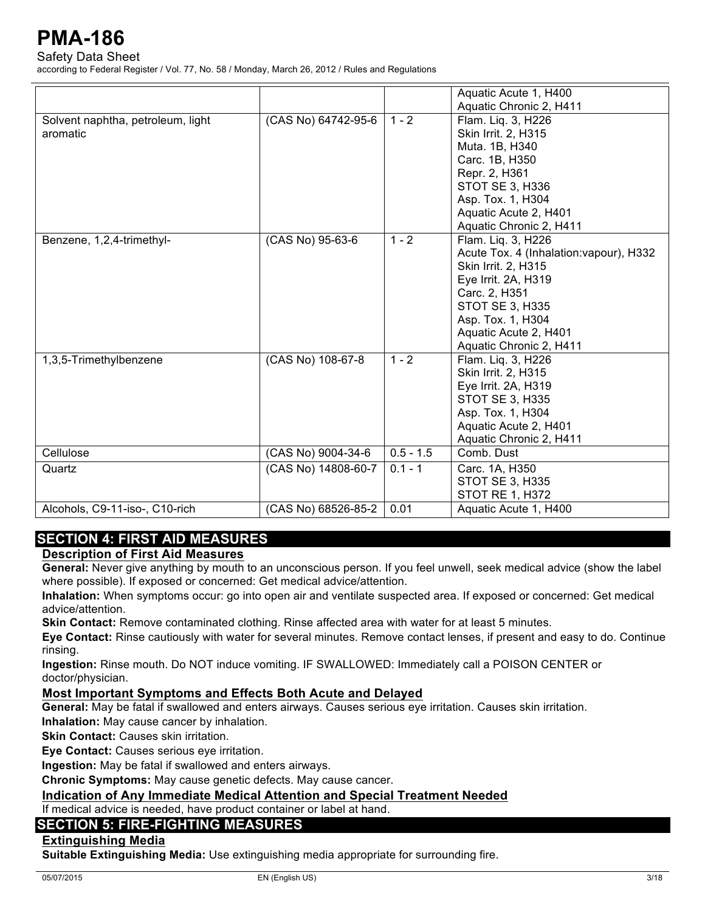Safety Data Sheet

according to Federal Register / Vol. 77, No. 58 / Monday, March 26, 2012 / Rules and Regulations

|                                               |                     |             | Aquatic Acute 1, H400                                                                                                                                                                                                           |
|-----------------------------------------------|---------------------|-------------|---------------------------------------------------------------------------------------------------------------------------------------------------------------------------------------------------------------------------------|
|                                               |                     |             | Aquatic Chronic 2, H411                                                                                                                                                                                                         |
| Solvent naphtha, petroleum, light<br>aromatic | (CAS No) 64742-95-6 | $1 - 2$     | Flam. Lig. 3, H226<br>Skin Irrit. 2, H315<br>Muta. 1B, H340<br>Carc. 1B, H350<br>Repr. 2, H361<br><b>STOT SE 3, H336</b><br>Asp. Tox. 1, H304<br>Aquatic Acute 2, H401                                                          |
|                                               |                     |             | Aquatic Chronic 2, H411                                                                                                                                                                                                         |
| Benzene, 1,2,4-trimethyl-                     | (CAS No) 95-63-6    | $1 - 2$     | Flam. Lig. 3, H226<br>Acute Tox. 4 (Inhalation: vapour), H332<br>Skin Irrit. 2, H315<br>Eye Irrit. 2A, H319<br>Carc. 2, H351<br><b>STOT SE 3, H335</b><br>Asp. Tox. 1, H304<br>Aquatic Acute 2, H401<br>Aquatic Chronic 2, H411 |
| 1,3,5-Trimethylbenzene                        | (CAS No) 108-67-8   | $1 - 2$     | Flam. Liq. 3, H226<br>Skin Irrit. 2, H315<br>Eye Irrit. 2A, H319<br><b>STOT SE 3, H335</b><br>Asp. Tox. 1, H304<br>Aquatic Acute 2, H401<br>Aquatic Chronic 2, H411                                                             |
| Cellulose                                     | (CAS No) 9004-34-6  | $0.5 - 1.5$ | Comb. Dust                                                                                                                                                                                                                      |
| Quartz                                        | (CAS No) 14808-60-7 | $0.1 - 1$   | Carc. 1A, H350<br><b>STOT SE 3, H335</b><br><b>STOT RE 1, H372</b>                                                                                                                                                              |
| Alcohols, C9-11-iso-, C10-rich                | (CAS No) 68526-85-2 | 0.01        | Aquatic Acute 1, H400                                                                                                                                                                                                           |

## **SECTION 4: FIRST AID MEASURES**

### **Description of First Aid Measures**

**General:** Never give anything by mouth to an unconscious person. If you feel unwell, seek medical advice (show the label where possible). If exposed or concerned: Get medical advice/attention.

**Inhalation:** When symptoms occur: go into open air and ventilate suspected area. If exposed or concerned: Get medical advice/attention.

**Skin Contact:** Remove contaminated clothing. Rinse affected area with water for at least 5 minutes.

**Eye Contact:** Rinse cautiously with water for several minutes. Remove contact lenses, if present and easy to do. Continue rinsing.

**Ingestion:** Rinse mouth. Do NOT induce vomiting. IF SWALLOWED: Immediately call a POISON CENTER or doctor/physician.

### **Most Important Symptoms and Effects Both Acute and Delayed**

**General:** May be fatal if swallowed and enters airways. Causes serious eye irritation. Causes skin irritation.

**Inhalation:** May cause cancer by inhalation.

**Skin Contact: Causes skin irritation.** 

**Eye Contact:** Causes serious eye irritation.

**Ingestion:** May be fatal if swallowed and enters airways.

**Chronic Symptoms:** May cause genetic defects. May cause cancer.

**Indication of Any Immediate Medical Attention and Special Treatment Needed**

If medical advice is needed, have product container or label at hand.

## **SECTION 5: FIRE-FIGHTING MEASURES**

### **Extinguishing Media**

**Suitable Extinguishing Media:** Use extinguishing media appropriate for surrounding fire.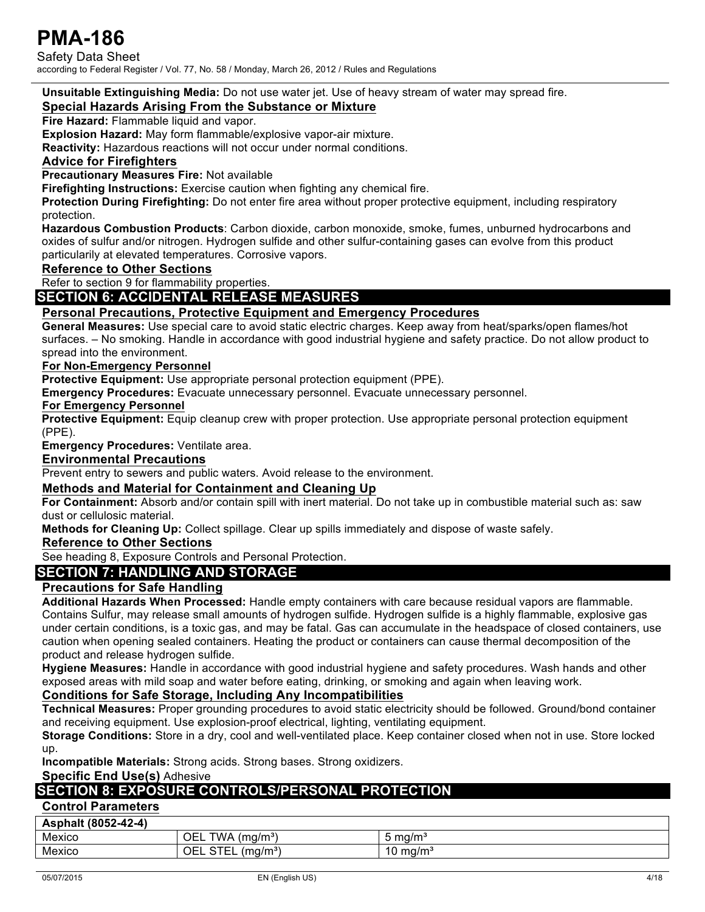Safety Data Sheet according to Federal Register / Vol. 77, No. 58 / Monday, March 26, 2012 / Rules and Regulations

**Unsuitable Extinguishing Media:** Do not use water jet. Use of heavy stream of water may spread fire.

#### **Special Hazards Arising From the Substance or Mixture**

**Fire Hazard:** Flammable liquid and vapor.

**Explosion Hazard:** May form flammable/explosive vapor-air mixture.

**Reactivity:** Hazardous reactions will not occur under normal conditions.

#### **Advice for Firefighters**

**Precautionary Measures Fire:** Not available

**Firefighting Instructions:** Exercise caution when fighting any chemical fire.

**Protection During Firefighting:** Do not enter fire area without proper protective equipment, including respiratory protection.

**Hazardous Combustion Products**: Carbon dioxide, carbon monoxide, smoke, fumes, unburned hydrocarbons and oxides of sulfur and/or nitrogen. Hydrogen sulfide and other sulfur-containing gases can evolve from this product particularily at elevated temperatures. Corrosive vapors.

#### **Reference to Other Sections**

Refer to section 9 for flammability properties.

### **SECTION 6: ACCIDENTAL RELEASE MEASURES**

#### **Personal Precautions, Protective Equipment and Emergency Procedures**

**General Measures:** Use special care to avoid static electric charges. Keep away from heat/sparks/open flames/hot surfaces. – No smoking. Handle in accordance with good industrial hygiene and safety practice. Do not allow product to spread into the environment.

#### **For Non-Emergency Personnel**

**Protective Equipment:** Use appropriate personal protection equipment (PPE).

**Emergency Procedures:** Evacuate unnecessary personnel. Evacuate unnecessary personnel.

**For Emergency Personnel**

**Protective Equipment:** Equip cleanup crew with proper protection. Use appropriate personal protection equipment (PPE).

**Emergency Procedures:** Ventilate area.

#### **Environmental Precautions**

Prevent entry to sewers and public waters. Avoid release to the environment.

### **Methods and Material for Containment and Cleaning Up**

**For Containment:** Absorb and/or contain spill with inert material. Do not take up in combustible material such as: saw dust or cellulosic material.

**Methods for Cleaning Up:** Collect spillage. Clear up spills immediately and dispose of waste safely.

#### **Reference to Other Sections**

See heading 8, Exposure Controls and Personal Protection.

## **SECTION 7: HANDLING AND STORAGE**

### **Precautions for Safe Handling**

**Additional Hazards When Processed:** Handle empty containers with care because residual vapors are flammable. Contains Sulfur, may release small amounts of hydrogen sulfide. Hydrogen sulfide is a highly flammable, explosive gas under certain conditions, is a toxic gas, and may be fatal. Gas can accumulate in the headspace of closed containers, use caution when opening sealed containers. Heating the product or containers can cause thermal decomposition of the product and release hydrogen sulfide.

**Hygiene Measures:** Handle in accordance with good industrial hygiene and safety procedures. Wash hands and other exposed areas with mild soap and water before eating, drinking, or smoking and again when leaving work.

### **Conditions for Safe Storage, Including Any Incompatibilities**

**Technical Measures:** Proper grounding procedures to avoid static electricity should be followed. Ground/bond container and receiving equipment. Use explosion-proof electrical, lighting, ventilating equipment.

**Storage Conditions:** Store in a dry, cool and well-ventilated place. Keep container closed when not in use. Store locked up.

**Incompatible Materials:** Strong acids. Strong bases. Strong oxidizers.

#### **Specific End Use(s)** Adhesive

## **SECTION 8: EXPOSURE CONTROLS/PERSONAL PROTECTION**

### **Control Parameters**

| Asphalt (8052-42-4) |                                                           |         |
|---------------------|-----------------------------------------------------------|---------|
| Mexico              | TWA $(mg/m3)$<br>OEL                                      | ma/mª   |
| Mexico              | $\cap$ Tr<br>(mq/m <sup>3</sup> )<br>OEL<br>-<br>ິ<br>--- | 0 ma/mª |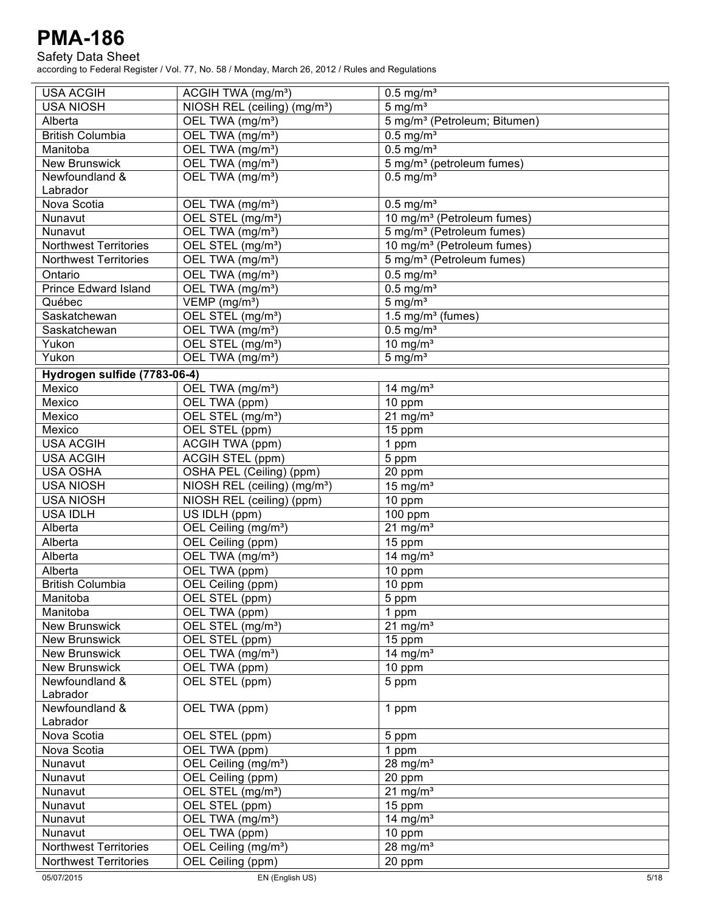### Safety Data Sheet

| <b>USA ACGIH</b>             | ACGIH TWA (mg/m <sup>3</sup> )           | $0.5$ mg/m <sup>3</sup>                  |
|------------------------------|------------------------------------------|------------------------------------------|
| <b>USA NIOSH</b>             | NIOSH REL (ceiling) (mg/m <sup>3</sup> ) | $5 \text{ mg/m}^3$                       |
| Alberta                      | OEL TWA (mg/m <sup>3</sup> )             | 5 mg/m <sup>3</sup> (Petroleum; Bitumen) |
| <b>British Columbia</b>      | OEL TWA (mg/m <sup>3</sup> )             | $0.5$ mg/m <sup>3</sup>                  |
| Manitoba                     | OEL TWA (mg/m <sup>3</sup> )             | $0.5$ mg/m <sup>3</sup>                  |
| <b>New Brunswick</b>         | OEL TWA (mg/m <sup>3</sup> )             | 5 mg/m <sup>3</sup> (petroleum fumes)    |
| Newfoundland &               | OEL TWA (mg/m <sup>3</sup> )             | $0.5$ mg/m <sup>3</sup>                  |
| Labrador                     |                                          |                                          |
| Nova Scotia                  | OEL TWA (mg/m <sup>3</sup> )             | $0.5$ mg/m <sup>3</sup>                  |
| Nunavut                      | OEL STEL (mg/m <sup>3</sup> )            | 10 mg/m <sup>3</sup> (Petroleum fumes)   |
| Nunavut                      | OEL TWA (mg/m <sup>3</sup> )             | 5 mg/m <sup>3</sup> (Petroleum fumes)    |
| <b>Northwest Territories</b> | OEL STEL (mg/m <sup>3</sup> )            | 10 mg/m <sup>3</sup> (Petroleum fumes)   |
| <b>Northwest Territories</b> | OEL TWA (mg/m <sup>3</sup> )             | 5 mg/m <sup>3</sup> (Petroleum fumes)    |
| Ontario                      | OEL TWA (mg/m <sup>3</sup> )             | $0.5$ mg/m <sup>3</sup>                  |
| <b>Prince Edward Island</b>  | OEL TWA (mg/m <sup>3</sup> )             | $0.5$ mg/m <sup>3</sup>                  |
| Québec                       | VEMP (mg/m <sup>3</sup> )                | $5 \text{ mg/m}^3$                       |
| Saskatchewan                 | OEL STEL (mg/m <sup>3</sup> )            | 1.5 mg/ $m3$ (fumes)                     |
| Saskatchewan                 | OEL TWA (mg/m <sup>3</sup> )             | $0.5$ mg/m <sup>3</sup>                  |
| Yukon                        | OEL STEL (mg/m <sup>3</sup> )            | 10 mg/ $m3$                              |
| Yukon                        | OEL TWA (mg/m <sup>3</sup> )             | $5 \text{ mg/m}^3$                       |
| Hydrogen sulfide (7783-06-4) |                                          |                                          |
| Mexico                       | OEL TWA (mg/m <sup>3</sup> )             | 14 mg/ $m3$                              |
| Mexico                       | OEL TWA (ppm)                            | 10 ppm                                   |
| Mexico                       | OEL STEL (mg/m <sup>3</sup> )            | $21$ mg/m <sup>3</sup>                   |
| Mexico                       | OEL STEL (ppm)                           | 15 ppm                                   |
| <b>USA ACGIH</b>             | <b>ACGIH TWA (ppm)</b>                   | 1 ppm                                    |
| <b>USA ACGIH</b>             | <b>ACGIH STEL (ppm)</b>                  | 5 ppm                                    |
| <b>USA OSHA</b>              | OSHA PEL (Ceiling) (ppm)                 | 20 ppm                                   |
| <b>USA NIOSH</b>             | NIOSH REL (ceiling) (mg/m <sup>3</sup> ) | 15 mg/ $m3$                              |
| <b>USA NIOSH</b>             | NIOSH REL (ceiling) (ppm)                | 10 ppm                                   |
| <b>USA IDLH</b>              | US IDLH (ppm)                            | 100 ppm                                  |
| Alberta                      | OEL Ceiling (mg/m <sup>3</sup> )         | $21$ mg/m <sup>3</sup>                   |
| Alberta                      | OEL Ceiling (ppm)                        | 15 ppm                                   |
| Alberta                      | OEL TWA (mg/m <sup>3</sup> )             | 14 mg/ $m3$                              |
| Alberta                      | OEL TWA (ppm)                            | 10 ppm                                   |
| <b>British Columbia</b>      | OEL Ceiling (ppm)                        | 10 ppm                                   |
| Manitoba                     | OEL STEL (ppm)                           | 5 ppm                                    |
| Manitoba                     | OEL TWA (ppm)                            | 1 ppm                                    |
| <b>New Brunswick</b>         | OEL STEL (mg/m <sup>3</sup> )            | 21 mg/ $m3$                              |
| <b>New Brunswick</b>         | OEL STEL (ppm)                           | 15 ppm                                   |
| New Brunswick                | OEL TWA (mg/m <sup>3</sup> )             | 14 mg/ $m3$                              |
| <b>New Brunswick</b>         | OEL TWA (ppm)                            | 10 ppm                                   |
| Newfoundland &               | OEL STEL (ppm)                           | 5 ppm                                    |
| Labrador                     |                                          |                                          |
| Newfoundland &               | OEL TWA (ppm)                            | 1 ppm                                    |
| Labrador                     |                                          |                                          |
| Nova Scotia                  | OEL STEL (ppm)                           | 5 ppm                                    |
| Nova Scotia                  | OEL TWA (ppm)                            | 1 ppm                                    |
| Nunavut                      | OEL Ceiling (mg/m <sup>3</sup> )         | 28 mg/ $m3$                              |
| Nunavut                      | OEL Ceiling (ppm)                        | 20 ppm                                   |
| Nunavut                      | OEL STEL (mg/m <sup>3</sup> )            | 21 mg/m $3$                              |
| Nunavut                      | OEL STEL (ppm)                           | 15 ppm                                   |
| Nunavut                      | OEL TWA (mg/m <sup>3</sup> )             | 14 mg/ $m3$                              |
| Nunavut                      | OEL TWA (ppm)                            | 10 ppm                                   |
| <b>Northwest Territories</b> | OEL Ceiling (mg/m <sup>3</sup> )         | 28 mg/ $m3$                              |
| <b>Northwest Territories</b> | OEL Ceiling (ppm)                        | 20 ppm                                   |
| 05/07/2015                   | EN (English US)                          | 5/18                                     |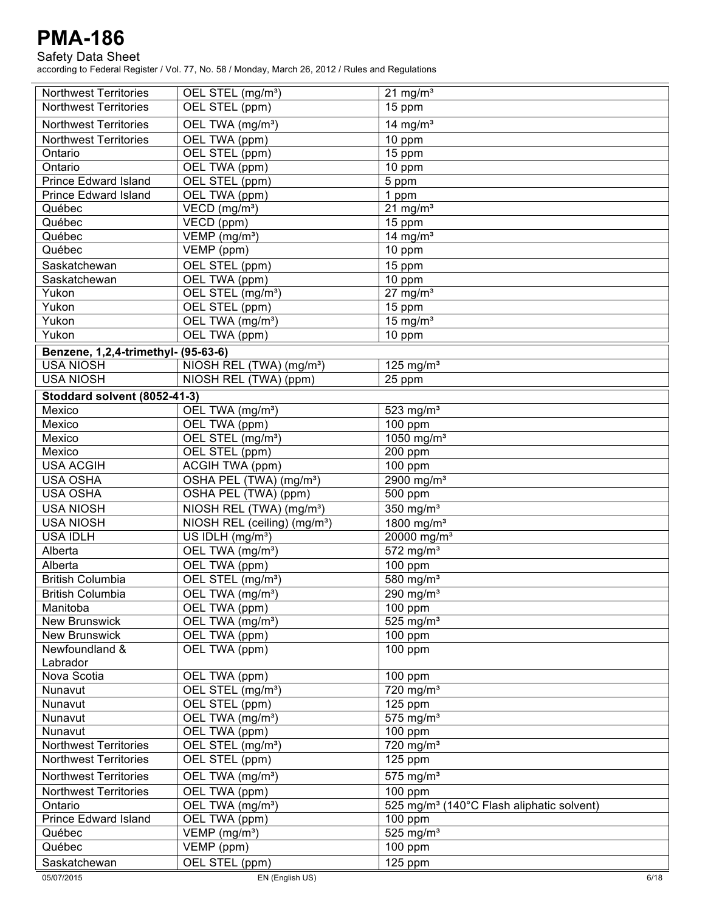Safety Data Sheet

| <b>Northwest Territories</b>        | OEL STEL (mg/m <sup>3</sup> )                 | $21$ mg/m <sup>3</sup>                                |
|-------------------------------------|-----------------------------------------------|-------------------------------------------------------|
| <b>Northwest Territories</b>        | OEL STEL (ppm)                                | 15 ppm                                                |
| <b>Northwest Territories</b>        | OEL TWA (mg/m <sup>3</sup> )                  | $14$ mg/m <sup>3</sup>                                |
| <b>Northwest Territories</b>        | OEL TWA (ppm)                                 | $\overline{10}$ ppm                                   |
| Ontario                             | OEL STEL (ppm)                                | 15 ppm                                                |
| Ontario                             | OEL TWA (ppm)                                 | $\overline{10}$ ppm                                   |
| <b>Prince Edward Island</b>         | OEL STEL (ppm)                                | 5 ppm                                                 |
| <b>Prince Edward Island</b>         | OEL TWA (ppm)                                 | 1 ppm                                                 |
| Québec                              | VECD (mg/m <sup>3</sup> )                     | 21 $\overline{\text{mg/m}^3}$                         |
| Québec                              | $\overline{\text{VECD}}$ (ppm)                | 15 ppm                                                |
| Québec                              | $\overline{\text{VEMP}}$ (mg/m <sup>3</sup> ) | 14 mg/ $m3$                                           |
| Québec                              | VEMP (ppm)                                    |                                                       |
|                                     |                                               | 10 ppm                                                |
| Saskatchewan                        | OEL STEL (ppm)                                | 15 ppm                                                |
| Saskatchewan                        | OEL TWA (ppm)                                 | 10 ppm                                                |
| Yukon                               | OEL STEL (mg/m <sup>3</sup> )                 | $27$ mg/m <sup>3</sup>                                |
| Yukon                               | OEL STEL (ppm)                                | 15 ppm                                                |
| Yukon                               | OEL TWA (mg/m <sup>3</sup> )                  | $15 \text{ mg/m}^3$                                   |
| Yukon                               | OEL TWA (ppm)                                 | 10 ppm                                                |
| Benzene, 1,2,4-trimethyl- (95-63-6) |                                               |                                                       |
| <b>USA NIOSH</b>                    | NIOSH REL (TWA) (mg/m <sup>3</sup> )          | 125 mg/ $m3$                                          |
| <b>USA NIOSH</b>                    | NIOSH REL (TWA) (ppm)                         | 25 ppm                                                |
| Stoddard solvent (8052-41-3)        |                                               |                                                       |
| Mexico                              | OEL TWA (mg/m <sup>3</sup> )                  | 523 mg/ $m3$                                          |
| Mexico                              | OEL TWA (ppm)                                 | 100 ppm                                               |
| Mexico                              | OEL STEL (mg/m <sup>3</sup> )                 | 1050 mg/m <sup>3</sup>                                |
| Mexico                              | OEL STEL (ppm)                                | 200 ppm                                               |
| <b>USA ACGIH</b>                    | <b>ACGIH TWA (ppm)</b>                        | 100 ppm                                               |
| <b>USA OSHA</b>                     | OSHA PEL (TWA) (mg/m <sup>3</sup> )           | 2900 mg/m <sup>3</sup>                                |
| <b>USA OSHA</b>                     | OSHA PEL (TWA) (ppm)                          | 500 ppm                                               |
| <b>USA NIOSH</b>                    | NIOSH REL (TWA) (mg/m <sup>3</sup> )          | $350$ mg/m <sup>3</sup>                               |
| <b>USA NIOSH</b>                    | NIOSH REL (ceiling) (mg/m <sup>3</sup> )      | 1800 mg/m <sup>3</sup>                                |
| <b>USA IDLH</b>                     | US IDLH (mg/m <sup>3</sup> )                  | 20000 mg/m <sup>3</sup>                               |
| Alberta                             | OEL TWA (mg/m <sup>3</sup> )                  | $572$ mg/m <sup>3</sup>                               |
| Alberta                             | OEL TWA (ppm)                                 | 100 ppm                                               |
| <b>British Columbia</b>             | OEL STEL (mg/m <sup>3</sup> )                 | 580 mg/m <sup>3</sup>                                 |
| <b>British Columbia</b>             | OEL TWA (mg/m <sup>3</sup> )                  | $290$ mg/m <sup>3</sup>                               |
| Manitoba                            | OEL TWA (ppm)                                 | 100 ppm                                               |
| <b>New Brunswick</b>                | OEL TWA (mg/m <sup>3</sup> )                  | $525$ mg/m <sup>3</sup>                               |
| <b>New Brunswick</b>                | OEL TWA (ppm)                                 | 100 ppm                                               |
| Newfoundland &                      | OEL TWA (ppm)                                 | $100$ ppm                                             |
| Labrador                            |                                               |                                                       |
| Nova Scotia                         | OEL TWA (ppm)                                 | 100 ppm                                               |
| Nunavut                             | OEL STEL (mg/m <sup>3</sup> )                 | $\frac{1}{720}$ mg/m <sup>3</sup>                     |
| Nunavut                             | OEL STEL (ppm)                                | $125$ ppm                                             |
| Nunavut                             | OEL TWA (mg/m <sup>3</sup> )                  | 575 mg/ $m3$                                          |
| Nunavut                             | OEL TWA (ppm)                                 | 100 ppm                                               |
| <b>Northwest Territories</b>        | OEL STEL (mg/m <sup>3</sup> )                 | 720 mg/m <sup>3</sup>                                 |
| <b>Northwest Territories</b>        | OEL STEL (ppm)                                | $125$ ppm                                             |
|                                     |                                               |                                                       |
| <b>Northwest Territories</b>        | OEL TWA (mg/m <sup>3</sup> )                  | 575 mg/ $m3$                                          |
| <b>Northwest Territories</b>        | OEL TWA (ppm)                                 | $100$ ppm                                             |
| Ontario                             | OEL TWA (mg/m <sup>3</sup> )                  | 525 mg/m <sup>3</sup> (140°C Flash aliphatic solvent) |
| <b>Prince Edward Island</b>         | OEL TWA (ppm)                                 | $100$ ppm                                             |
| Québec                              | VEMP (mg/m <sup>3</sup> )                     | 525 mg/ $m3$                                          |
| Québec                              | $VEMP$ (ppm)                                  | 100 ppm                                               |
| Saskatchewan                        | OEL STEL (ppm)                                | $125$ ppm                                             |
| 05/07/2015                          | EN (English US)                               | 6/18                                                  |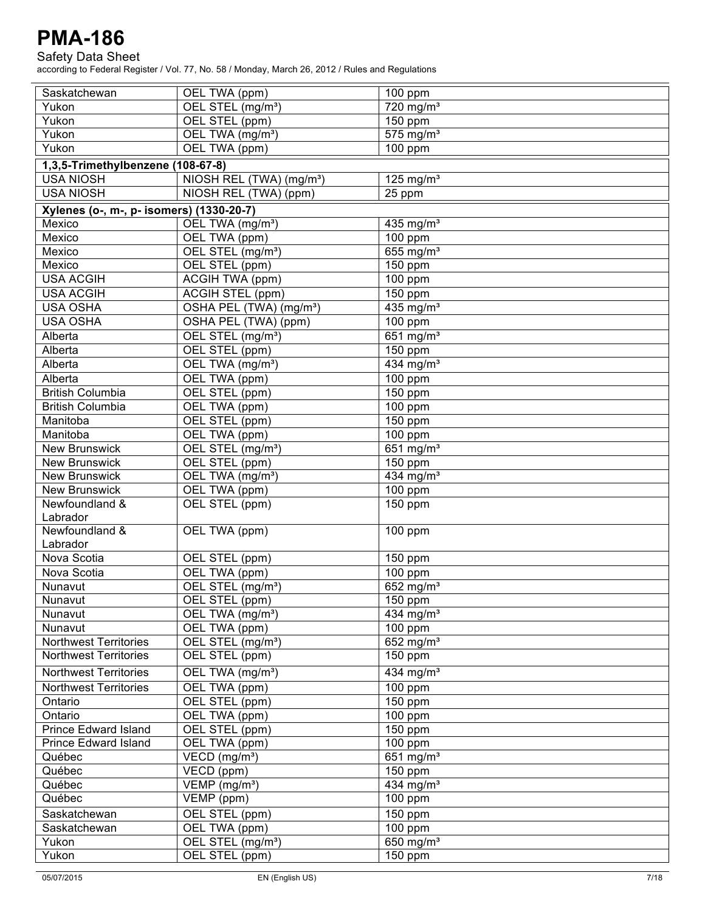Safety Data Sheet

| OEL STEL (mg/m <sup>3</sup> )<br>720 mg/m <sup>3</sup><br>Yukon<br>Yukon<br>OEL STEL (ppm)<br>150 ppm<br>$575$ mg/m <sup>3</sup><br>Yukon<br>OEL TWA (mg/m <sup>3</sup> )<br>Yukon<br>OEL TWA (ppm)<br>100 ppm<br>1,3,5-Trimethylbenzene (108-67-8)<br>NIOSH REL (TWA) (mg/m <sup>3</sup> )<br>125 mg/ $m3$<br><b>USA NIOSH</b><br><b>USA NIOSH</b><br>NIOSH REL (TWA) (ppm)<br>25 ppm<br>Xylenes (o-, m-, p- isomers) (1330-20-7)<br>Mexico<br>OEL TWA (mg/m <sup>3</sup> )<br>435 mg/ $m3$<br>Mexico<br>OEL TWA (ppm)<br>100 ppm<br>655 mg/m <sup>3</sup><br>Mexico<br>OEL STEL (mg/m <sup>3</sup> )<br>Mexico<br>OEL STEL (ppm)<br>150 ppm<br><b>USA ACGIH</b><br>100 ppm<br>ACGIH TWA (ppm)<br><b>USA ACGIH</b><br>ACGIH STEL (ppm)<br>$150$ ppm<br>435 mg/m <sup>3</sup><br><b>USA OSHA</b><br>OSHA PEL (TWA) (mg/m <sup>3</sup> )<br><b>USA OSHA</b><br>OSHA PEL (TWA) (ppm)<br>$\overline{100}$ ppm<br>OEL STEL (mg/m <sup>3</sup> )<br>651 $mg/m3$<br>Alberta<br>Alberta<br>OEL STEL (ppm)<br>150 ppm<br>434 mg/m <sup>3</sup><br>OEL TWA (mg/m <sup>3</sup> )<br>Alberta<br>OEL TWA (ppm)<br>$\overline{100}$ ppm<br>Alberta<br><b>British Columbia</b><br>OEL STEL (ppm)<br>150 ppm<br>OEL TWA (ppm)<br>100 ppm<br><b>British Columbia</b><br>OEL STEL (ppm)<br>$150$ ppm<br>Manitoba<br>OEL TWA (ppm)<br>100 ppm<br>Manitoba<br>OEL STEL (mg/m <sup>3</sup> )<br>$651$ mg/m <sup>3</sup><br><b>New Brunswick</b><br>OEL STEL (ppm)<br><b>New Brunswick</b><br>$150$ ppm<br>OEL TWA (mg/m <sup>3</sup> )<br>$434$ mg/m <sup>3</sup><br><b>New Brunswick</b><br>OEL TWA (ppm)<br><b>New Brunswick</b><br>100 ppm<br>OEL STEL (ppm)<br>Newfoundland &<br>150 ppm<br>Labrador<br>Newfoundland &<br>OEL TWA (ppm)<br>100 ppm<br>Labrador<br>Nova Scotia<br>OEL STEL (ppm)<br>150 ppm<br>Nova Scotia<br>OEL TWA (ppm)<br>100 ppm<br>OEL STEL (mg/m <sup>3</sup> )<br>652 mg/m $3$<br>Nunavut<br>OEL STEL (ppm)<br>$150$ ppm<br>Nunavut<br>OEL TWA (mg/m <sup>3</sup> )<br>434 mg/ $m3$<br>Nunavut<br>100 ppm<br>OEL TWA (ppm)<br>Nunavut<br>OEL STEL (mg/m <sup>3</sup> )<br>652 mg/ $m3$<br><b>Northwest Territories</b><br>OEL STEL (ppm)<br><b>Northwest Territories</b><br>150 ppm<br><b>Northwest Territories</b><br>OEL TWA (mg/m <sup>3</sup> )<br>434 mg/m <sup>3</sup><br><b>Northwest Territories</b><br>OEL TWA (ppm)<br>100 ppm<br>OEL STEL (ppm)<br>$150$ ppm<br>Ontario<br>Ontario<br>OEL TWA (ppm)<br>100 ppm<br><b>Prince Edward Island</b><br>OEL STEL (ppm)<br>150 ppm<br><b>Prince Edward Island</b><br>OEL TWA (ppm)<br>$\overline{100}$ ppm<br>651 $mg/m3$<br>Québec<br>VECD (mg/m <sup>3</sup> )<br>$\overline{\text{VECD}}$ (ppm)<br>Québec<br>150 ppm<br>434 mg/m <sup>3</sup><br>Québec<br>$VEMP$ (mg/m <sup>3</sup> )<br>$\overline{\mathsf{VEMP}}$ (ppm)<br>Québec<br>100 ppm<br>OEL STEL (ppm)<br>150 ppm<br>Saskatchewan<br>OEL TWA (ppm)<br>100 ppm<br>Saskatchewan<br>650 mg/m <sup>3</sup><br>OEL STEL (mg/m <sup>3</sup> )<br>Yukon<br>OEL STEL (ppm)<br>Yukon<br>150 ppm | Saskatchewan | OEL TWA (ppm) | 100 ppm |
|-----------------------------------------------------------------------------------------------------------------------------------------------------------------------------------------------------------------------------------------------------------------------------------------------------------------------------------------------------------------------------------------------------------------------------------------------------------------------------------------------------------------------------------------------------------------------------------------------------------------------------------------------------------------------------------------------------------------------------------------------------------------------------------------------------------------------------------------------------------------------------------------------------------------------------------------------------------------------------------------------------------------------------------------------------------------------------------------------------------------------------------------------------------------------------------------------------------------------------------------------------------------------------------------------------------------------------------------------------------------------------------------------------------------------------------------------------------------------------------------------------------------------------------------------------------------------------------------------------------------------------------------------------------------------------------------------------------------------------------------------------------------------------------------------------------------------------------------------------------------------------------------------------------------------------------------------------------------------------------------------------------------------------------------------------------------------------------------------------------------------------------------------------------------------------------------------------------------------------------------------------------------------------------------------------------------------------------------------------------------------------------------------------------------------------------------------------------------------------------------------------------------------------------------------------------------------------------------------------------------------------------------------------------------------------------------------------------------------------------------------------------------------------------------------------------------------------------------------------------------------------------------------------------------------------------------------------------------------------------------------------------------|--------------|---------------|---------|
|                                                                                                                                                                                                                                                                                                                                                                                                                                                                                                                                                                                                                                                                                                                                                                                                                                                                                                                                                                                                                                                                                                                                                                                                                                                                                                                                                                                                                                                                                                                                                                                                                                                                                                                                                                                                                                                                                                                                                                                                                                                                                                                                                                                                                                                                                                                                                                                                                                                                                                                                                                                                                                                                                                                                                                                                                                                                                                                                                                                                                 |              |               |         |
|                                                                                                                                                                                                                                                                                                                                                                                                                                                                                                                                                                                                                                                                                                                                                                                                                                                                                                                                                                                                                                                                                                                                                                                                                                                                                                                                                                                                                                                                                                                                                                                                                                                                                                                                                                                                                                                                                                                                                                                                                                                                                                                                                                                                                                                                                                                                                                                                                                                                                                                                                                                                                                                                                                                                                                                                                                                                                                                                                                                                                 |              |               |         |
|                                                                                                                                                                                                                                                                                                                                                                                                                                                                                                                                                                                                                                                                                                                                                                                                                                                                                                                                                                                                                                                                                                                                                                                                                                                                                                                                                                                                                                                                                                                                                                                                                                                                                                                                                                                                                                                                                                                                                                                                                                                                                                                                                                                                                                                                                                                                                                                                                                                                                                                                                                                                                                                                                                                                                                                                                                                                                                                                                                                                                 |              |               |         |
|                                                                                                                                                                                                                                                                                                                                                                                                                                                                                                                                                                                                                                                                                                                                                                                                                                                                                                                                                                                                                                                                                                                                                                                                                                                                                                                                                                                                                                                                                                                                                                                                                                                                                                                                                                                                                                                                                                                                                                                                                                                                                                                                                                                                                                                                                                                                                                                                                                                                                                                                                                                                                                                                                                                                                                                                                                                                                                                                                                                                                 |              |               |         |
|                                                                                                                                                                                                                                                                                                                                                                                                                                                                                                                                                                                                                                                                                                                                                                                                                                                                                                                                                                                                                                                                                                                                                                                                                                                                                                                                                                                                                                                                                                                                                                                                                                                                                                                                                                                                                                                                                                                                                                                                                                                                                                                                                                                                                                                                                                                                                                                                                                                                                                                                                                                                                                                                                                                                                                                                                                                                                                                                                                                                                 |              |               |         |
|                                                                                                                                                                                                                                                                                                                                                                                                                                                                                                                                                                                                                                                                                                                                                                                                                                                                                                                                                                                                                                                                                                                                                                                                                                                                                                                                                                                                                                                                                                                                                                                                                                                                                                                                                                                                                                                                                                                                                                                                                                                                                                                                                                                                                                                                                                                                                                                                                                                                                                                                                                                                                                                                                                                                                                                                                                                                                                                                                                                                                 |              |               |         |
|                                                                                                                                                                                                                                                                                                                                                                                                                                                                                                                                                                                                                                                                                                                                                                                                                                                                                                                                                                                                                                                                                                                                                                                                                                                                                                                                                                                                                                                                                                                                                                                                                                                                                                                                                                                                                                                                                                                                                                                                                                                                                                                                                                                                                                                                                                                                                                                                                                                                                                                                                                                                                                                                                                                                                                                                                                                                                                                                                                                                                 |              |               |         |
|                                                                                                                                                                                                                                                                                                                                                                                                                                                                                                                                                                                                                                                                                                                                                                                                                                                                                                                                                                                                                                                                                                                                                                                                                                                                                                                                                                                                                                                                                                                                                                                                                                                                                                                                                                                                                                                                                                                                                                                                                                                                                                                                                                                                                                                                                                                                                                                                                                                                                                                                                                                                                                                                                                                                                                                                                                                                                                                                                                                                                 |              |               |         |
|                                                                                                                                                                                                                                                                                                                                                                                                                                                                                                                                                                                                                                                                                                                                                                                                                                                                                                                                                                                                                                                                                                                                                                                                                                                                                                                                                                                                                                                                                                                                                                                                                                                                                                                                                                                                                                                                                                                                                                                                                                                                                                                                                                                                                                                                                                                                                                                                                                                                                                                                                                                                                                                                                                                                                                                                                                                                                                                                                                                                                 |              |               |         |
|                                                                                                                                                                                                                                                                                                                                                                                                                                                                                                                                                                                                                                                                                                                                                                                                                                                                                                                                                                                                                                                                                                                                                                                                                                                                                                                                                                                                                                                                                                                                                                                                                                                                                                                                                                                                                                                                                                                                                                                                                                                                                                                                                                                                                                                                                                                                                                                                                                                                                                                                                                                                                                                                                                                                                                                                                                                                                                                                                                                                                 |              |               |         |
|                                                                                                                                                                                                                                                                                                                                                                                                                                                                                                                                                                                                                                                                                                                                                                                                                                                                                                                                                                                                                                                                                                                                                                                                                                                                                                                                                                                                                                                                                                                                                                                                                                                                                                                                                                                                                                                                                                                                                                                                                                                                                                                                                                                                                                                                                                                                                                                                                                                                                                                                                                                                                                                                                                                                                                                                                                                                                                                                                                                                                 |              |               |         |
|                                                                                                                                                                                                                                                                                                                                                                                                                                                                                                                                                                                                                                                                                                                                                                                                                                                                                                                                                                                                                                                                                                                                                                                                                                                                                                                                                                                                                                                                                                                                                                                                                                                                                                                                                                                                                                                                                                                                                                                                                                                                                                                                                                                                                                                                                                                                                                                                                                                                                                                                                                                                                                                                                                                                                                                                                                                                                                                                                                                                                 |              |               |         |
|                                                                                                                                                                                                                                                                                                                                                                                                                                                                                                                                                                                                                                                                                                                                                                                                                                                                                                                                                                                                                                                                                                                                                                                                                                                                                                                                                                                                                                                                                                                                                                                                                                                                                                                                                                                                                                                                                                                                                                                                                                                                                                                                                                                                                                                                                                                                                                                                                                                                                                                                                                                                                                                                                                                                                                                                                                                                                                                                                                                                                 |              |               |         |
|                                                                                                                                                                                                                                                                                                                                                                                                                                                                                                                                                                                                                                                                                                                                                                                                                                                                                                                                                                                                                                                                                                                                                                                                                                                                                                                                                                                                                                                                                                                                                                                                                                                                                                                                                                                                                                                                                                                                                                                                                                                                                                                                                                                                                                                                                                                                                                                                                                                                                                                                                                                                                                                                                                                                                                                                                                                                                                                                                                                                                 |              |               |         |
|                                                                                                                                                                                                                                                                                                                                                                                                                                                                                                                                                                                                                                                                                                                                                                                                                                                                                                                                                                                                                                                                                                                                                                                                                                                                                                                                                                                                                                                                                                                                                                                                                                                                                                                                                                                                                                                                                                                                                                                                                                                                                                                                                                                                                                                                                                                                                                                                                                                                                                                                                                                                                                                                                                                                                                                                                                                                                                                                                                                                                 |              |               |         |
|                                                                                                                                                                                                                                                                                                                                                                                                                                                                                                                                                                                                                                                                                                                                                                                                                                                                                                                                                                                                                                                                                                                                                                                                                                                                                                                                                                                                                                                                                                                                                                                                                                                                                                                                                                                                                                                                                                                                                                                                                                                                                                                                                                                                                                                                                                                                                                                                                                                                                                                                                                                                                                                                                                                                                                                                                                                                                                                                                                                                                 |              |               |         |
|                                                                                                                                                                                                                                                                                                                                                                                                                                                                                                                                                                                                                                                                                                                                                                                                                                                                                                                                                                                                                                                                                                                                                                                                                                                                                                                                                                                                                                                                                                                                                                                                                                                                                                                                                                                                                                                                                                                                                                                                                                                                                                                                                                                                                                                                                                                                                                                                                                                                                                                                                                                                                                                                                                                                                                                                                                                                                                                                                                                                                 |              |               |         |
|                                                                                                                                                                                                                                                                                                                                                                                                                                                                                                                                                                                                                                                                                                                                                                                                                                                                                                                                                                                                                                                                                                                                                                                                                                                                                                                                                                                                                                                                                                                                                                                                                                                                                                                                                                                                                                                                                                                                                                                                                                                                                                                                                                                                                                                                                                                                                                                                                                                                                                                                                                                                                                                                                                                                                                                                                                                                                                                                                                                                                 |              |               |         |
|                                                                                                                                                                                                                                                                                                                                                                                                                                                                                                                                                                                                                                                                                                                                                                                                                                                                                                                                                                                                                                                                                                                                                                                                                                                                                                                                                                                                                                                                                                                                                                                                                                                                                                                                                                                                                                                                                                                                                                                                                                                                                                                                                                                                                                                                                                                                                                                                                                                                                                                                                                                                                                                                                                                                                                                                                                                                                                                                                                                                                 |              |               |         |
|                                                                                                                                                                                                                                                                                                                                                                                                                                                                                                                                                                                                                                                                                                                                                                                                                                                                                                                                                                                                                                                                                                                                                                                                                                                                                                                                                                                                                                                                                                                                                                                                                                                                                                                                                                                                                                                                                                                                                                                                                                                                                                                                                                                                                                                                                                                                                                                                                                                                                                                                                                                                                                                                                                                                                                                                                                                                                                                                                                                                                 |              |               |         |
|                                                                                                                                                                                                                                                                                                                                                                                                                                                                                                                                                                                                                                                                                                                                                                                                                                                                                                                                                                                                                                                                                                                                                                                                                                                                                                                                                                                                                                                                                                                                                                                                                                                                                                                                                                                                                                                                                                                                                                                                                                                                                                                                                                                                                                                                                                                                                                                                                                                                                                                                                                                                                                                                                                                                                                                                                                                                                                                                                                                                                 |              |               |         |
|                                                                                                                                                                                                                                                                                                                                                                                                                                                                                                                                                                                                                                                                                                                                                                                                                                                                                                                                                                                                                                                                                                                                                                                                                                                                                                                                                                                                                                                                                                                                                                                                                                                                                                                                                                                                                                                                                                                                                                                                                                                                                                                                                                                                                                                                                                                                                                                                                                                                                                                                                                                                                                                                                                                                                                                                                                                                                                                                                                                                                 |              |               |         |
|                                                                                                                                                                                                                                                                                                                                                                                                                                                                                                                                                                                                                                                                                                                                                                                                                                                                                                                                                                                                                                                                                                                                                                                                                                                                                                                                                                                                                                                                                                                                                                                                                                                                                                                                                                                                                                                                                                                                                                                                                                                                                                                                                                                                                                                                                                                                                                                                                                                                                                                                                                                                                                                                                                                                                                                                                                                                                                                                                                                                                 |              |               |         |
|                                                                                                                                                                                                                                                                                                                                                                                                                                                                                                                                                                                                                                                                                                                                                                                                                                                                                                                                                                                                                                                                                                                                                                                                                                                                                                                                                                                                                                                                                                                                                                                                                                                                                                                                                                                                                                                                                                                                                                                                                                                                                                                                                                                                                                                                                                                                                                                                                                                                                                                                                                                                                                                                                                                                                                                                                                                                                                                                                                                                                 |              |               |         |
|                                                                                                                                                                                                                                                                                                                                                                                                                                                                                                                                                                                                                                                                                                                                                                                                                                                                                                                                                                                                                                                                                                                                                                                                                                                                                                                                                                                                                                                                                                                                                                                                                                                                                                                                                                                                                                                                                                                                                                                                                                                                                                                                                                                                                                                                                                                                                                                                                                                                                                                                                                                                                                                                                                                                                                                                                                                                                                                                                                                                                 |              |               |         |
|                                                                                                                                                                                                                                                                                                                                                                                                                                                                                                                                                                                                                                                                                                                                                                                                                                                                                                                                                                                                                                                                                                                                                                                                                                                                                                                                                                                                                                                                                                                                                                                                                                                                                                                                                                                                                                                                                                                                                                                                                                                                                                                                                                                                                                                                                                                                                                                                                                                                                                                                                                                                                                                                                                                                                                                                                                                                                                                                                                                                                 |              |               |         |
|                                                                                                                                                                                                                                                                                                                                                                                                                                                                                                                                                                                                                                                                                                                                                                                                                                                                                                                                                                                                                                                                                                                                                                                                                                                                                                                                                                                                                                                                                                                                                                                                                                                                                                                                                                                                                                                                                                                                                                                                                                                                                                                                                                                                                                                                                                                                                                                                                                                                                                                                                                                                                                                                                                                                                                                                                                                                                                                                                                                                                 |              |               |         |
|                                                                                                                                                                                                                                                                                                                                                                                                                                                                                                                                                                                                                                                                                                                                                                                                                                                                                                                                                                                                                                                                                                                                                                                                                                                                                                                                                                                                                                                                                                                                                                                                                                                                                                                                                                                                                                                                                                                                                                                                                                                                                                                                                                                                                                                                                                                                                                                                                                                                                                                                                                                                                                                                                                                                                                                                                                                                                                                                                                                                                 |              |               |         |
|                                                                                                                                                                                                                                                                                                                                                                                                                                                                                                                                                                                                                                                                                                                                                                                                                                                                                                                                                                                                                                                                                                                                                                                                                                                                                                                                                                                                                                                                                                                                                                                                                                                                                                                                                                                                                                                                                                                                                                                                                                                                                                                                                                                                                                                                                                                                                                                                                                                                                                                                                                                                                                                                                                                                                                                                                                                                                                                                                                                                                 |              |               |         |
|                                                                                                                                                                                                                                                                                                                                                                                                                                                                                                                                                                                                                                                                                                                                                                                                                                                                                                                                                                                                                                                                                                                                                                                                                                                                                                                                                                                                                                                                                                                                                                                                                                                                                                                                                                                                                                                                                                                                                                                                                                                                                                                                                                                                                                                                                                                                                                                                                                                                                                                                                                                                                                                                                                                                                                                                                                                                                                                                                                                                                 |              |               |         |
|                                                                                                                                                                                                                                                                                                                                                                                                                                                                                                                                                                                                                                                                                                                                                                                                                                                                                                                                                                                                                                                                                                                                                                                                                                                                                                                                                                                                                                                                                                                                                                                                                                                                                                                                                                                                                                                                                                                                                                                                                                                                                                                                                                                                                                                                                                                                                                                                                                                                                                                                                                                                                                                                                                                                                                                                                                                                                                                                                                                                                 |              |               |         |
|                                                                                                                                                                                                                                                                                                                                                                                                                                                                                                                                                                                                                                                                                                                                                                                                                                                                                                                                                                                                                                                                                                                                                                                                                                                                                                                                                                                                                                                                                                                                                                                                                                                                                                                                                                                                                                                                                                                                                                                                                                                                                                                                                                                                                                                                                                                                                                                                                                                                                                                                                                                                                                                                                                                                                                                                                                                                                                                                                                                                                 |              |               |         |
|                                                                                                                                                                                                                                                                                                                                                                                                                                                                                                                                                                                                                                                                                                                                                                                                                                                                                                                                                                                                                                                                                                                                                                                                                                                                                                                                                                                                                                                                                                                                                                                                                                                                                                                                                                                                                                                                                                                                                                                                                                                                                                                                                                                                                                                                                                                                                                                                                                                                                                                                                                                                                                                                                                                                                                                                                                                                                                                                                                                                                 |              |               |         |
|                                                                                                                                                                                                                                                                                                                                                                                                                                                                                                                                                                                                                                                                                                                                                                                                                                                                                                                                                                                                                                                                                                                                                                                                                                                                                                                                                                                                                                                                                                                                                                                                                                                                                                                                                                                                                                                                                                                                                                                                                                                                                                                                                                                                                                                                                                                                                                                                                                                                                                                                                                                                                                                                                                                                                                                                                                                                                                                                                                                                                 |              |               |         |
|                                                                                                                                                                                                                                                                                                                                                                                                                                                                                                                                                                                                                                                                                                                                                                                                                                                                                                                                                                                                                                                                                                                                                                                                                                                                                                                                                                                                                                                                                                                                                                                                                                                                                                                                                                                                                                                                                                                                                                                                                                                                                                                                                                                                                                                                                                                                                                                                                                                                                                                                                                                                                                                                                                                                                                                                                                                                                                                                                                                                                 |              |               |         |
|                                                                                                                                                                                                                                                                                                                                                                                                                                                                                                                                                                                                                                                                                                                                                                                                                                                                                                                                                                                                                                                                                                                                                                                                                                                                                                                                                                                                                                                                                                                                                                                                                                                                                                                                                                                                                                                                                                                                                                                                                                                                                                                                                                                                                                                                                                                                                                                                                                                                                                                                                                                                                                                                                                                                                                                                                                                                                                                                                                                                                 |              |               |         |
|                                                                                                                                                                                                                                                                                                                                                                                                                                                                                                                                                                                                                                                                                                                                                                                                                                                                                                                                                                                                                                                                                                                                                                                                                                                                                                                                                                                                                                                                                                                                                                                                                                                                                                                                                                                                                                                                                                                                                                                                                                                                                                                                                                                                                                                                                                                                                                                                                                                                                                                                                                                                                                                                                                                                                                                                                                                                                                                                                                                                                 |              |               |         |
|                                                                                                                                                                                                                                                                                                                                                                                                                                                                                                                                                                                                                                                                                                                                                                                                                                                                                                                                                                                                                                                                                                                                                                                                                                                                                                                                                                                                                                                                                                                                                                                                                                                                                                                                                                                                                                                                                                                                                                                                                                                                                                                                                                                                                                                                                                                                                                                                                                                                                                                                                                                                                                                                                                                                                                                                                                                                                                                                                                                                                 |              |               |         |
|                                                                                                                                                                                                                                                                                                                                                                                                                                                                                                                                                                                                                                                                                                                                                                                                                                                                                                                                                                                                                                                                                                                                                                                                                                                                                                                                                                                                                                                                                                                                                                                                                                                                                                                                                                                                                                                                                                                                                                                                                                                                                                                                                                                                                                                                                                                                                                                                                                                                                                                                                                                                                                                                                                                                                                                                                                                                                                                                                                                                                 |              |               |         |
|                                                                                                                                                                                                                                                                                                                                                                                                                                                                                                                                                                                                                                                                                                                                                                                                                                                                                                                                                                                                                                                                                                                                                                                                                                                                                                                                                                                                                                                                                                                                                                                                                                                                                                                                                                                                                                                                                                                                                                                                                                                                                                                                                                                                                                                                                                                                                                                                                                                                                                                                                                                                                                                                                                                                                                                                                                                                                                                                                                                                                 |              |               |         |
|                                                                                                                                                                                                                                                                                                                                                                                                                                                                                                                                                                                                                                                                                                                                                                                                                                                                                                                                                                                                                                                                                                                                                                                                                                                                                                                                                                                                                                                                                                                                                                                                                                                                                                                                                                                                                                                                                                                                                                                                                                                                                                                                                                                                                                                                                                                                                                                                                                                                                                                                                                                                                                                                                                                                                                                                                                                                                                                                                                                                                 |              |               |         |
|                                                                                                                                                                                                                                                                                                                                                                                                                                                                                                                                                                                                                                                                                                                                                                                                                                                                                                                                                                                                                                                                                                                                                                                                                                                                                                                                                                                                                                                                                                                                                                                                                                                                                                                                                                                                                                                                                                                                                                                                                                                                                                                                                                                                                                                                                                                                                                                                                                                                                                                                                                                                                                                                                                                                                                                                                                                                                                                                                                                                                 |              |               |         |
|                                                                                                                                                                                                                                                                                                                                                                                                                                                                                                                                                                                                                                                                                                                                                                                                                                                                                                                                                                                                                                                                                                                                                                                                                                                                                                                                                                                                                                                                                                                                                                                                                                                                                                                                                                                                                                                                                                                                                                                                                                                                                                                                                                                                                                                                                                                                                                                                                                                                                                                                                                                                                                                                                                                                                                                                                                                                                                                                                                                                                 |              |               |         |
|                                                                                                                                                                                                                                                                                                                                                                                                                                                                                                                                                                                                                                                                                                                                                                                                                                                                                                                                                                                                                                                                                                                                                                                                                                                                                                                                                                                                                                                                                                                                                                                                                                                                                                                                                                                                                                                                                                                                                                                                                                                                                                                                                                                                                                                                                                                                                                                                                                                                                                                                                                                                                                                                                                                                                                                                                                                                                                                                                                                                                 |              |               |         |
|                                                                                                                                                                                                                                                                                                                                                                                                                                                                                                                                                                                                                                                                                                                                                                                                                                                                                                                                                                                                                                                                                                                                                                                                                                                                                                                                                                                                                                                                                                                                                                                                                                                                                                                                                                                                                                                                                                                                                                                                                                                                                                                                                                                                                                                                                                                                                                                                                                                                                                                                                                                                                                                                                                                                                                                                                                                                                                                                                                                                                 |              |               |         |
|                                                                                                                                                                                                                                                                                                                                                                                                                                                                                                                                                                                                                                                                                                                                                                                                                                                                                                                                                                                                                                                                                                                                                                                                                                                                                                                                                                                                                                                                                                                                                                                                                                                                                                                                                                                                                                                                                                                                                                                                                                                                                                                                                                                                                                                                                                                                                                                                                                                                                                                                                                                                                                                                                                                                                                                                                                                                                                                                                                                                                 |              |               |         |
|                                                                                                                                                                                                                                                                                                                                                                                                                                                                                                                                                                                                                                                                                                                                                                                                                                                                                                                                                                                                                                                                                                                                                                                                                                                                                                                                                                                                                                                                                                                                                                                                                                                                                                                                                                                                                                                                                                                                                                                                                                                                                                                                                                                                                                                                                                                                                                                                                                                                                                                                                                                                                                                                                                                                                                                                                                                                                                                                                                                                                 |              |               |         |
|                                                                                                                                                                                                                                                                                                                                                                                                                                                                                                                                                                                                                                                                                                                                                                                                                                                                                                                                                                                                                                                                                                                                                                                                                                                                                                                                                                                                                                                                                                                                                                                                                                                                                                                                                                                                                                                                                                                                                                                                                                                                                                                                                                                                                                                                                                                                                                                                                                                                                                                                                                                                                                                                                                                                                                                                                                                                                                                                                                                                                 |              |               |         |
|                                                                                                                                                                                                                                                                                                                                                                                                                                                                                                                                                                                                                                                                                                                                                                                                                                                                                                                                                                                                                                                                                                                                                                                                                                                                                                                                                                                                                                                                                                                                                                                                                                                                                                                                                                                                                                                                                                                                                                                                                                                                                                                                                                                                                                                                                                                                                                                                                                                                                                                                                                                                                                                                                                                                                                                                                                                                                                                                                                                                                 |              |               |         |
|                                                                                                                                                                                                                                                                                                                                                                                                                                                                                                                                                                                                                                                                                                                                                                                                                                                                                                                                                                                                                                                                                                                                                                                                                                                                                                                                                                                                                                                                                                                                                                                                                                                                                                                                                                                                                                                                                                                                                                                                                                                                                                                                                                                                                                                                                                                                                                                                                                                                                                                                                                                                                                                                                                                                                                                                                                                                                                                                                                                                                 |              |               |         |
|                                                                                                                                                                                                                                                                                                                                                                                                                                                                                                                                                                                                                                                                                                                                                                                                                                                                                                                                                                                                                                                                                                                                                                                                                                                                                                                                                                                                                                                                                                                                                                                                                                                                                                                                                                                                                                                                                                                                                                                                                                                                                                                                                                                                                                                                                                                                                                                                                                                                                                                                                                                                                                                                                                                                                                                                                                                                                                                                                                                                                 |              |               |         |
|                                                                                                                                                                                                                                                                                                                                                                                                                                                                                                                                                                                                                                                                                                                                                                                                                                                                                                                                                                                                                                                                                                                                                                                                                                                                                                                                                                                                                                                                                                                                                                                                                                                                                                                                                                                                                                                                                                                                                                                                                                                                                                                                                                                                                                                                                                                                                                                                                                                                                                                                                                                                                                                                                                                                                                                                                                                                                                                                                                                                                 |              |               |         |
|                                                                                                                                                                                                                                                                                                                                                                                                                                                                                                                                                                                                                                                                                                                                                                                                                                                                                                                                                                                                                                                                                                                                                                                                                                                                                                                                                                                                                                                                                                                                                                                                                                                                                                                                                                                                                                                                                                                                                                                                                                                                                                                                                                                                                                                                                                                                                                                                                                                                                                                                                                                                                                                                                                                                                                                                                                                                                                                                                                                                                 |              |               |         |
|                                                                                                                                                                                                                                                                                                                                                                                                                                                                                                                                                                                                                                                                                                                                                                                                                                                                                                                                                                                                                                                                                                                                                                                                                                                                                                                                                                                                                                                                                                                                                                                                                                                                                                                                                                                                                                                                                                                                                                                                                                                                                                                                                                                                                                                                                                                                                                                                                                                                                                                                                                                                                                                                                                                                                                                                                                                                                                                                                                                                                 |              |               |         |
|                                                                                                                                                                                                                                                                                                                                                                                                                                                                                                                                                                                                                                                                                                                                                                                                                                                                                                                                                                                                                                                                                                                                                                                                                                                                                                                                                                                                                                                                                                                                                                                                                                                                                                                                                                                                                                                                                                                                                                                                                                                                                                                                                                                                                                                                                                                                                                                                                                                                                                                                                                                                                                                                                                                                                                                                                                                                                                                                                                                                                 |              |               |         |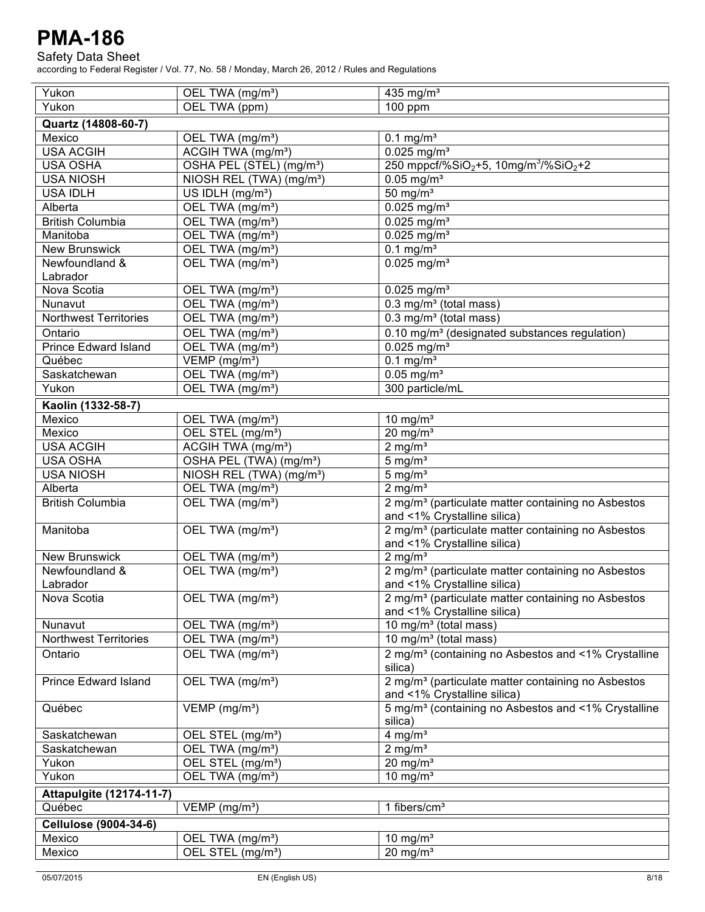### Safety Data Sheet

| Yukon                                   | OEL TWA (mg/m <sup>3</sup> )         | $\overline{435}$ mg/m <sup>3</sup>                                        |
|-----------------------------------------|--------------------------------------|---------------------------------------------------------------------------|
| Yukon                                   | OEL TWA (ppm)                        | 100 ppm                                                                   |
| Quartz (14808-60-7)                     |                                      |                                                                           |
| Mexico                                  | OEL TWA (mg/m <sup>3</sup> )         | $0.1 \text{ mg/m}^3$                                                      |
| <b>USA ACGIH</b>                        | ACGIH TWA (mg/m <sup>3</sup> )       | $0.025$ mg/m <sup>3</sup>                                                 |
| <b>USA OSHA</b>                         | OSHA PEL (STEL) (mg/m <sup>3</sup> ) | 250 mppcf/%SiO <sub>2</sub> +5, 10mg/m <sup>3</sup> /%SiO <sub>2</sub> +2 |
| <b>USA NIOSH</b>                        | NIOSH REL (TWA) (mg/m <sup>3</sup> ) | $0.05$ mg/m <sup>3</sup>                                                  |
| <b>USA IDLH</b>                         | US IDLH (mg/m <sup>3</sup> )         | 50 mg/ $m3$                                                               |
| Alberta                                 | OEL TWA (mg/m <sup>3</sup> )         | $0.025$ mg/m <sup>3</sup>                                                 |
|                                         |                                      |                                                                           |
| <b>British Columbia</b>                 | OEL TWA (mg/m <sup>3</sup> )         | $0.025$ mg/m <sup>3</sup>                                                 |
| Manitoba                                | OEL TWA (mg/m <sup>3</sup> )         | $0.025$ mg/m <sup>3</sup>                                                 |
| <b>New Brunswick</b>                    | OEL TWA (mg/m <sup>3</sup> )         | $0.1 \text{ mg/m}^3$                                                      |
| Newfoundland &                          | OEL TWA (mg/m <sup>3</sup> )         | $0.025$ mg/m <sup>3</sup>                                                 |
| Labrador<br>Nova Scotia                 |                                      |                                                                           |
|                                         | OEL TWA (mg/m <sup>3</sup> )         | $0.025$ mg/m <sup>3</sup>                                                 |
| Nunavut<br><b>Northwest Territories</b> | OEL TWA (mg/m <sup>3</sup> )         | 0.3 mg/m <sup>3</sup> (total mass)                                        |
|                                         | OEL TWA (mg/m <sup>3</sup> )         | $0.3$ mg/m <sup>3</sup> (total mass)                                      |
| Ontario                                 | OEL TWA (mg/m <sup>3</sup> )         | 0.10 mg/m <sup>3</sup> (designated substances regulation)                 |
| <b>Prince Edward Island</b>             | OEL TWA (mg/m <sup>3</sup> )         | $0.025$ mg/m <sup>3</sup>                                                 |
| Québec                                  | $VEMP$ (mg/m <sup>3</sup> )          | $0.1 \text{ mg/m}^3$                                                      |
| Saskatchewan                            | OEL TWA (mg/m <sup>3</sup> )         | $0.05$ mg/m <sup>3</sup>                                                  |
| Yukon                                   | OEL TWA (mg/m <sup>3</sup> )         | 300 particle/mL                                                           |
| Kaolin (1332-58-7)                      |                                      |                                                                           |
| Mexico                                  | OEL TWA (mg/m <sup>3</sup> )         | 10 mg/ $m3$                                                               |
| Mexico                                  | OEL STEL (mg/m <sup>3</sup> )        | $20$ mg/m <sup>3</sup>                                                    |
| <b>USA ACGIH</b>                        | ACGIH TWA (mg/m <sup>3</sup> )       | 2 mg/m <sup>3</sup>                                                       |
| <b>USA OSHA</b>                         | OSHA PEL (TWA) (mg/m <sup>3</sup> )  | $5 \text{ mg/m}^3$                                                        |
| <b>USA NIOSH</b>                        | NIOSH REL (TWA) (mg/m <sup>3</sup> ) | $5 \text{ mg/m}^3$                                                        |
| Alberta                                 | OEL TWA (mg/m <sup>3</sup> )         | $2 \text{ mg/m}^3$                                                        |
| <b>British Columbia</b>                 | OEL TWA (mg/m <sup>3</sup> )         | 2 mg/m <sup>3</sup> (particulate matter containing no Asbestos            |
|                                         |                                      | and <1% Crystalline silica)                                               |
| Manitoba                                | OEL TWA (mg/m <sup>3</sup> )         | 2 mg/m <sup>3</sup> (particulate matter containing no Asbestos            |
|                                         |                                      | and <1% Crystalline silica)                                               |
| <b>New Brunswick</b>                    | OEL TWA (mg/m <sup>3</sup> )         | $2 \overline{\mathrm{mg}}$ /m <sup>3</sup>                                |
| Newfoundland &                          | OEL TWA (mg/m <sup>3</sup> )         | 2 mg/m <sup>3</sup> (particulate matter containing no Asbestos            |
| Labrador                                |                                      | and <1% Crystalline silica)                                               |
| Nova Scotia                             | OEL TWA (mg/m <sup>3</sup> )         | 2 mg/m <sup>3</sup> (particulate matter containing no Asbestos            |
|                                         |                                      | and <1% Crystalline silica)                                               |
| Nunavut                                 | OEL TWA (mg/m <sup>3</sup> )         | 10 mg/m <sup>3</sup> (total mass)                                         |
| <b>Northwest Territories</b>            | OEL TWA (mg/m <sup>3</sup> )         | 10 mg/m <sup>3</sup> (total mass)                                         |
| Ontario                                 | OEL TWA (mg/m <sup>3</sup> )         | 2 mg/m <sup>3</sup> (containing no Asbestos and <1% Crystalline           |
|                                         |                                      | silica)                                                                   |
| <b>Prince Edward Island</b>             | OEL TWA (mg/m <sup>3</sup> )         | 2 mg/m <sup>3</sup> (particulate matter containing no Asbestos            |
|                                         |                                      | and <1% Crystalline silica)                                               |
| Québec                                  | VEMP (mg/m <sup>3</sup> )            | 5 mg/m <sup>3</sup> (containing no Asbestos and <1% Crystalline           |
|                                         |                                      | silica)                                                                   |
| Saskatchewan                            | OEL STEL (mg/m <sup>3</sup> )        | 4 mg/ $m3$                                                                |
| Saskatchewan                            | OEL TWA (mg/m <sup>3</sup> )         | $2 \text{ mg/m}^3$                                                        |
| Yukon                                   | OEL STEL (mg/m <sup>3</sup> )        | $20 \text{ mg/m}^3$                                                       |
| Yukon                                   | OEL TWA (mg/m <sup>3</sup> )         | 10 mg/ $m3$                                                               |
| <b>Attapulgite (12174-11-7)</b>         |                                      |                                                                           |
| Québec                                  | $VEMP$ (mg/m <sup>3</sup> )          | 1 fibers/ $cm3$                                                           |
|                                         |                                      |                                                                           |
| <b>Cellulose (9004-34-6)</b>            |                                      |                                                                           |
| Mexico                                  | OEL TWA (mg/m <sup>3</sup> )         | 10 mg/ $m3$                                                               |
| Mexico                                  | OEL STEL (mg/m <sup>3</sup> )        | $20 \text{ mg/m}^3$                                                       |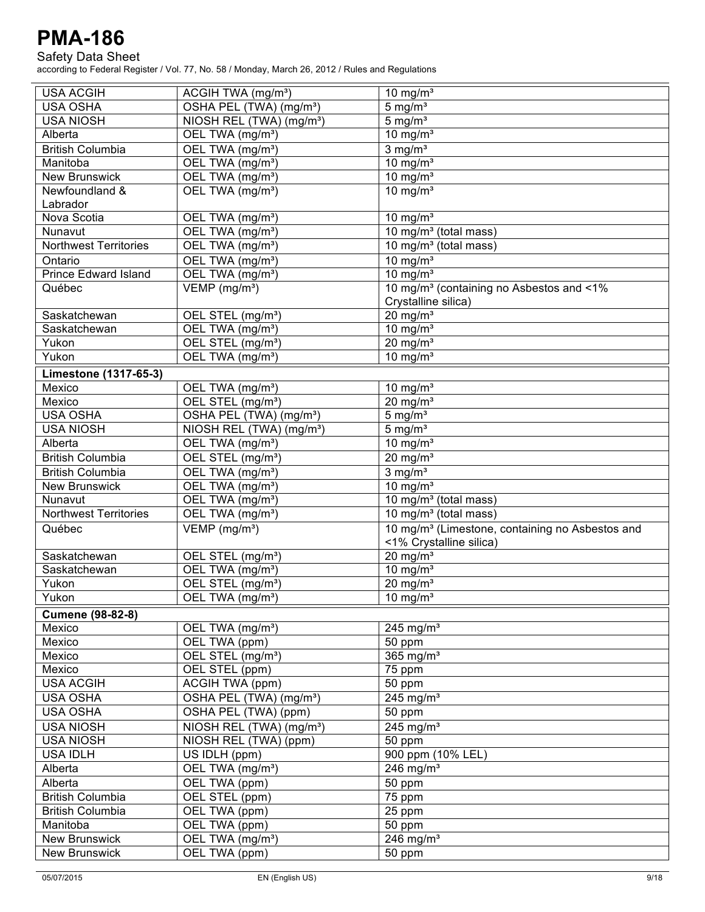### Safety Data Sheet

| <b>USA ACGIH</b>             | ACGIH TWA (mg/m <sup>3</sup> )       | 10 mg/ $m3$                                                                            |
|------------------------------|--------------------------------------|----------------------------------------------------------------------------------------|
| <b>USA OSHA</b>              | OSHA PEL (TWA) (mg/m <sup>3</sup> )  | $5 \text{ mg/m}^3$                                                                     |
| <b>USA NIOSH</b>             | NIOSH REL (TWA) (mg/m <sup>3</sup> ) | $5 \text{ mg/m}^3$                                                                     |
| Alberta                      | OEL TWA (mg/m <sup>3</sup> )         | 10 mg/ $m3$                                                                            |
| <b>British Columbia</b>      | OEL TWA (mg/m <sup>3</sup> )         | $3$ mg/m <sup>3</sup>                                                                  |
| Manitoba                     | OEL TWA (mg/m <sup>3</sup> )         | 10 mg/ $m3$                                                                            |
| <b>New Brunswick</b>         | OEL TWA (mg/m <sup>3</sup> )         | 10 mg/ $m3$                                                                            |
| Newfoundland &               | OEL TWA (mg/m <sup>3</sup> )         | 10 mg/ $m3$                                                                            |
| Labrador                     |                                      |                                                                                        |
| Nova Scotia                  | OEL TWA (mg/m <sup>3</sup> )         | 10 mg/ $m3$                                                                            |
| Nunavut                      | OEL TWA (mg/m <sup>3</sup> )         | $\overline{10}$ mg/m <sup>3</sup> (total mass)                                         |
| <b>Northwest Territories</b> | OEL TWA (mg/m <sup>3</sup> )         | $\overline{10}$ mg/m <sup>3</sup> (total mass)                                         |
| Ontario                      | OEL TWA (mg/m <sup>3</sup> )         | 10 mg/ $m3$                                                                            |
| <b>Prince Edward Island</b>  | OEL TWA (mg/m <sup>3</sup> )         | 10 mg/ $m3$                                                                            |
| Québec                       | VEMP (mg/m <sup>3</sup> )            | 10 mg/m <sup>3</sup> (containing no Asbestos and <1%                                   |
|                              |                                      | Crystalline silica)                                                                    |
| Saskatchewan                 | OEL STEL (mg/m <sup>3</sup> )        | $20 \text{ mg/m}^3$                                                                    |
| Saskatchewan                 | OEL TWA (mg/m <sup>3</sup> )         | $10$ mg/m <sup>3</sup>                                                                 |
| Yukon                        | OEL STEL (mg/m <sup>3</sup> )        | $20$ mg/m <sup>3</sup>                                                                 |
| Yukon                        | OEL TWA (mg/m <sup>3</sup> )         | $10 \text{ mg/m}^3$                                                                    |
| Limestone (1317-65-3)        |                                      |                                                                                        |
| Mexico                       | OEL TWA (mg/m <sup>3</sup> )         | $10$ mg/m <sup>3</sup>                                                                 |
| Mexico                       | OEL STEL (mg/m <sup>3</sup> )        | $20 \frac{m}{m}$                                                                       |
| USA OSHA                     | OSHA PEL (TWA) (mg/m <sup>3</sup> )  | $5 \text{ mg/m}^3$                                                                     |
| <b>USA NIOSH</b>             | NIOSH REL (TWA) (mg/m <sup>3</sup> ) | $5 \text{ mg/m}^3$                                                                     |
| Alberta                      | OEL TWA (mg/m <sup>3</sup> )         | 10 mg/ $m3$                                                                            |
|                              |                                      |                                                                                        |
| <b>British Columbia</b>      | OEL STEL (mg/m <sup>3</sup> )        | $20$ mg/m <sup>3</sup>                                                                 |
| <b>British Columbia</b>      | OEL TWA (mg/m <sup>3</sup> )         | $3$ mg/m <sup>3</sup>                                                                  |
| <b>New Brunswick</b>         | OEL TWA (mg/m <sup>3</sup> )         | $10 \text{ mg/m}^3$                                                                    |
| Nunavut                      | OEL TWA (mg/m <sup>3</sup> )         | $\overline{10}$ mg/m <sup>3</sup> (total mass)                                         |
| <b>Northwest Territories</b> | OEL TWA (mg/m <sup>3</sup> )         | 10 mg/m <sup>3</sup> (total mass)                                                      |
| Québec                       | VEMP (mg/m <sup>3</sup> )            | 10 mg/m <sup>3</sup> (Limestone, containing no Asbestos and<br><1% Crystalline silica) |
| Saskatchewan                 | OEL STEL (mg/m <sup>3</sup> )        | $20$ mg/m <sup>3</sup>                                                                 |
| Saskatchewan                 | OEL TWA (mg/m <sup>3</sup> )         | 10 mg/ $m3$                                                                            |
| Yukon                        | OEL STEL (mg/m <sup>3</sup> )        | $20$ mg/m <sup>3</sup>                                                                 |
| Yukon                        | OEL TWA (mg/m <sup>3</sup> )         | 10 mg/ $m3$                                                                            |
| <b>Cumene (98-82-8)</b>      |                                      |                                                                                        |
| Mexico                       | OEL TWA (mg/m <sup>3</sup> )         | 245 mg/ $m3$                                                                           |
| Mexico                       | OEL TWA (ppm)                        | 50 ppm                                                                                 |
| Mexico                       | OEL STEL (mg/m <sup>3</sup> )        | 365 mg/m <sup>3</sup>                                                                  |
| Mexico                       | OEL STEL (ppm)                       | 75 ppm                                                                                 |
| <b>USA ACGIH</b>             | ACGIH TWA (ppm)                      | 50 ppm                                                                                 |
| <b>USA OSHA</b>              | OSHA PEL (TWA) (mg/m <sup>3</sup> )  | 245 mg/ $m3$                                                                           |
| <b>USA OSHA</b>              | OSHA PEL (TWA) (ppm)                 | 50 ppm                                                                                 |
| <b>USA NIOSH</b>             | NIOSH REL (TWA) (mg/m <sup>3</sup> ) | $245$ mg/m <sup>3</sup>                                                                |
| <b>USA NIOSH</b>             | NIOSH REL (TWA) (ppm)                |                                                                                        |
|                              |                                      | 50 ppm                                                                                 |
| <b>USA IDLH</b>              | US IDLH (ppm)                        | 900 ppm (10% LEL)<br>246 mg/ $m3$                                                      |
| Alberta                      | OEL TWA (mg/m <sup>3</sup> )         |                                                                                        |
| Alberta                      | OEL TWA (ppm)                        | 50 ppm                                                                                 |
| <b>British Columbia</b>      | OEL STEL (ppm)                       | 75 ppm                                                                                 |
| <b>British Columbia</b>      | OEL TWA (ppm)                        | 25 ppm                                                                                 |
| Manitoba                     | OEL TWA (ppm)                        | 50 ppm                                                                                 |
| <b>New Brunswick</b>         | OEL TWA (mg/m <sup>3</sup> )         | 246 mg/ $m3$                                                                           |
| <b>New Brunswick</b>         | OEL TWA (ppm)                        | 50 ppm                                                                                 |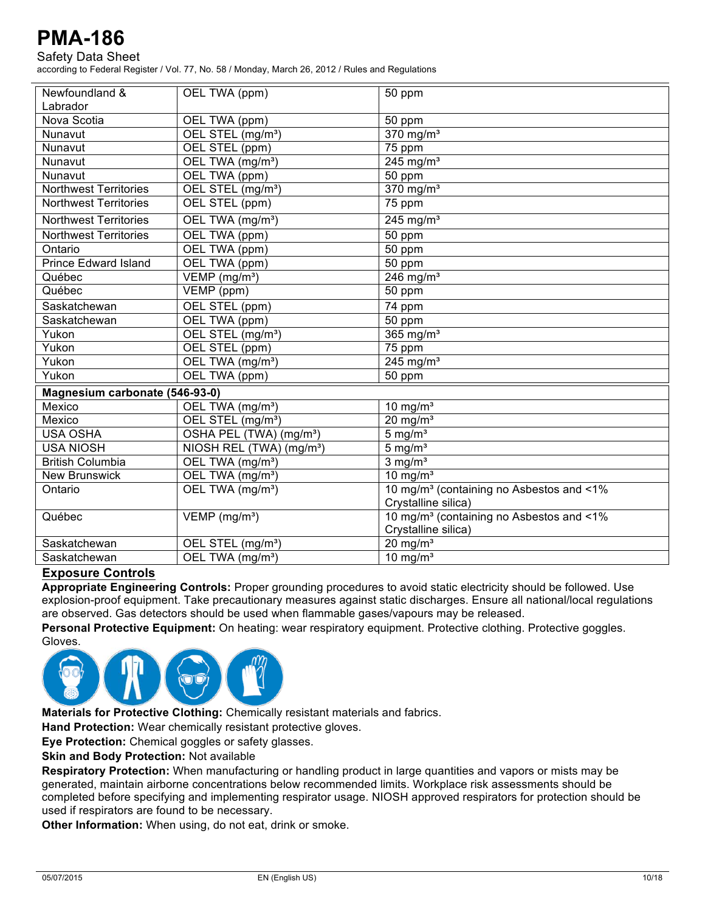### Safety Data Sheet

according to Federal Register / Vol. 77, No. 58 / Monday, March 26, 2012 / Rules and Regulations

| Newfoundland &                 |                                         |                                                      |
|--------------------------------|-----------------------------------------|------------------------------------------------------|
|                                | OEL TWA (ppm)                           | 50 ppm                                               |
| Labrador                       |                                         |                                                      |
| Nova Scotia                    | OEL TWA (ppm)                           | 50 ppm                                               |
| Nunavut                        | OEL STEL (mg/m <sup>3</sup> )           | $370$ mg/m <sup>3</sup>                              |
| Nunavut                        | OEL STEL (ppm)                          | 75 ppm                                               |
| Nunavut                        | OEL TWA (mg/m <sup>3</sup> )            | $245$ mg/m <sup>3</sup>                              |
| Nunavut                        | OEL TWA (ppm)                           | $\overline{50}$ ppm                                  |
| <b>Northwest Territories</b>   | OEL STEL (mg/m <sup>3</sup> )           | $370$ mg/m <sup>3</sup>                              |
| <b>Northwest Territories</b>   | OEL STEL (ppm)                          | 75 ppm                                               |
| <b>Northwest Territories</b>   | OEL TWA (mg/m <sup>3</sup> )            | $245$ mg/m <sup>3</sup>                              |
| <b>Northwest Territories</b>   | OEL TWA (ppm)                           | 50 ppm                                               |
| Ontario                        | OEL TWA (ppm)                           | 50 ppm                                               |
| <b>Prince Edward Island</b>    | OEL TWA (ppm)                           | 50 ppm                                               |
| Québec                         | $\overline{V}$ EMP (mg/m <sup>3</sup> ) | 246 mg/ $m3$                                         |
| Québec                         | VEMP (ppm)                              | 50 ppm                                               |
| Saskatchewan                   | OEL STEL (ppm)                          | 74 ppm                                               |
| Saskatchewan                   | OEL TWA (ppm)                           | 50 ppm                                               |
| Yukon                          | OEL STEL (mg/m <sup>3</sup> )           | 365 mg/ $m3$                                         |
| Yukon                          | OEL STEL (ppm)                          | $\overline{7}5$ ppm                                  |
| Yukon                          | OEL TWA (mg/m <sup>3</sup> )            | $245$ mg/m <sup>3</sup>                              |
| Yukon                          | OEL TWA (ppm)                           | 50 ppm                                               |
| Magnesium carbonate (546-93-0) |                                         |                                                      |
| Mexico                         | OEL TWA (mg/m <sup>3</sup> )            | 10 mg/ $m3$                                          |
| Mexico                         | OEL STEL (mg/m <sup>3</sup> )           | 20 mg/ $m3$                                          |
| <b>USA OSHA</b>                | OSHA PEL (TWA) (mg/m <sup>3</sup> )     | $5 \text{ mg/m}^3$                                   |
| <b>USA NIOSH</b>               | NIOSH REL (TWA) (mg/m <sup>3</sup> )    | 5 mg/ $\overline{m^3}$                               |
| <b>British Columbia</b>        | OEL TWA (mg/m <sup>3</sup> )            | 3 mg/ $\overline{m^3}$                               |
| <b>New Brunswick</b>           | OEL TWA (mg/m <sup>3</sup> )            | 10 mg/ $m3$                                          |
| Ontario                        | OEL TWA (mg/m <sup>3</sup> )            | 10 mg/m <sup>3</sup> (containing no Asbestos and <1% |
|                                |                                         | Crystalline silica)                                  |
| Québec                         | VEMP (mg/m <sup>3</sup> )               | 10 mg/m <sup>3</sup> (containing no Asbestos and <1% |
|                                |                                         | Crystalline silica)                                  |
| Saskatchewan                   | OEL STEL (mg/m <sup>3</sup> )           | $20 \text{ mg/m}^3$                                  |
| Saskatchewan                   | OEL TWA (mg/m <sup>3</sup> )            | 10 mg/ $m3$                                          |
|                                |                                         |                                                      |

### **Exposure Controls**

**Appropriate Engineering Controls:** Proper grounding procedures to avoid static electricity should be followed. Use explosion-proof equipment. Take precautionary measures against static discharges. Ensure all national/local regulations are observed. Gas detectors should be used when flammable gases/vapours may be released.

**Personal Protective Equipment:** On heating: wear respiratory equipment. Protective clothing. Protective goggles. Gloves.



**Materials for Protective Clothing:** Chemically resistant materials and fabrics.

**Hand Protection:** Wear chemically resistant protective gloves.

**Eye Protection:** Chemical goggles or safety glasses.

**Skin and Body Protection:** Not available

**Respiratory Protection:** When manufacturing or handling product in large quantities and vapors or mists may be generated, maintain airborne concentrations below recommended limits. Workplace risk assessments should be completed before specifying and implementing respirator usage. NIOSH approved respirators for protection should be used if respirators are found to be necessary.

**Other Information:** When using, do not eat, drink or smoke.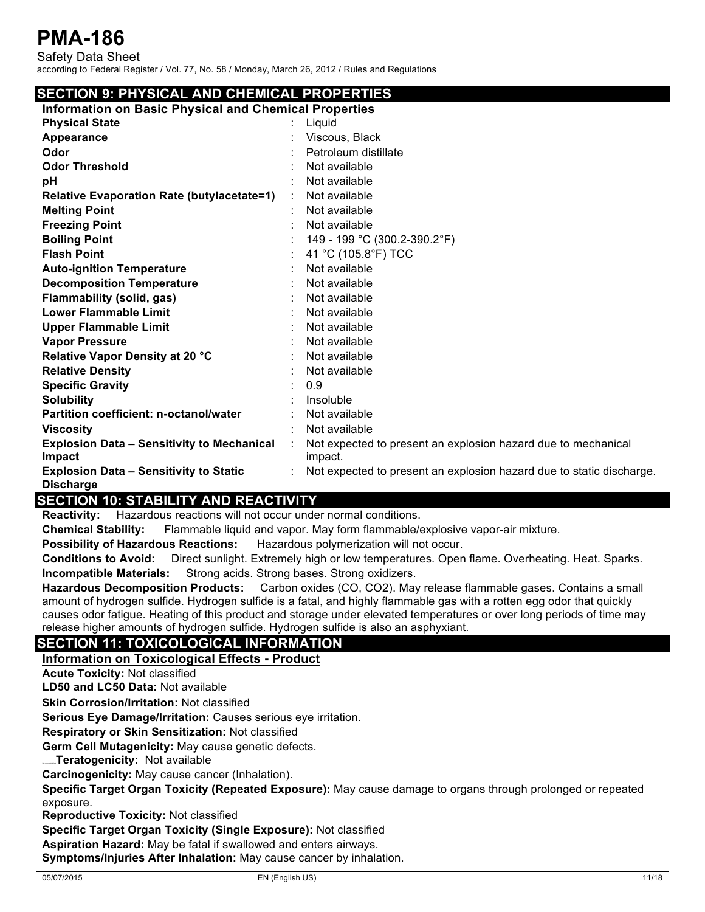Safety Data Sheet according to Federal Register / Vol. 77, No. 58 / Monday, March 26, 2012 / Rules and Regulations

## **SECTION 9: PHYSICAL AND CHEMICAL PROPERTIES**

**Information on Basic Physical and Chemical Properties**

| <u>miormation on Basic Physical and Chemical Properties</u> |   |                                                                      |
|-------------------------------------------------------------|---|----------------------------------------------------------------------|
| <b>Physical State</b>                                       |   | Liquid                                                               |
| <b>Appearance</b>                                           |   | Viscous, Black                                                       |
| Odor                                                        |   | Petroleum distillate                                                 |
| <b>Odor Threshold</b>                                       |   | Not available                                                        |
| рH                                                          |   | Not available                                                        |
| <b>Relative Evaporation Rate (butylacetate=1)</b>           | ÷ | Not available                                                        |
| <b>Melting Point</b>                                        |   | Not available                                                        |
| <b>Freezing Point</b>                                       |   | Not available                                                        |
| <b>Boiling Point</b>                                        |   | 149 - 199 °C (300.2-390.2°F)                                         |
| <b>Flash Point</b>                                          |   | 41 °C (105.8°F) TCC                                                  |
| <b>Auto-ignition Temperature</b>                            |   | Not available                                                        |
| <b>Decomposition Temperature</b>                            |   | Not available                                                        |
| Flammability (solid, gas)                                   |   | Not available                                                        |
| <b>Lower Flammable Limit</b>                                |   | Not available                                                        |
| <b>Upper Flammable Limit</b>                                |   | Not available                                                        |
| <b>Vapor Pressure</b>                                       |   | Not available                                                        |
| Relative Vapor Density at 20 °C                             |   | Not available                                                        |
| <b>Relative Density</b>                                     |   | Not available                                                        |
| <b>Specific Gravity</b>                                     |   | 0.9                                                                  |
| <b>Solubility</b>                                           |   | Insoluble                                                            |
| Partition coefficient: n-octanol/water                      |   | Not available                                                        |
| <b>Viscosity</b>                                            |   | Not available                                                        |
| <b>Explosion Data - Sensitivity to Mechanical</b>           | ÷ | Not expected to present an explosion hazard due to mechanical        |
| Impact                                                      |   | impact.                                                              |
| <b>Explosion Data - Sensitivity to Static</b>               |   | Not expected to present an explosion hazard due to static discharge. |
| <b>Discharge</b>                                            |   |                                                                      |

## **SECTION 10: STABILITY AND REACTIVITY**

**Reactivity:** Hazardous reactions will not occur under normal conditions.

**Chemical Stability:** Flammable liquid and vapor. May form flammable/explosive vapor-air mixture.

**Possibility of Hazardous Reactions:** Hazardous polymerization will not occur.

**Conditions to Avoid:** Direct sunlight. Extremely high or low temperatures. Open flame. Overheating. Heat. Sparks. **Incompatible Materials:** Strong acids. Strong bases. Strong oxidizers.

**Hazardous Decomposition Products:** Carbon oxides (CO, CO2). May release flammable gases. Contains a small amount of hydrogen sulfide. Hydrogen sulfide is a fatal, and highly flammable gas with a rotten egg odor that quickly causes odor fatigue. Heating of this product and storage under elevated temperatures or over long periods of time may release higher amounts of hydrogen sulfide. Hydrogen sulfide is also an asphyxiant.

## **SECTION 11: TOXICOLOGICAL INFORMATION**

**Information on Toxicological Effects - Product**

**Acute Toxicity:** Not classified

**LD50 and LC50 Data:** Not available

**Skin Corrosion/Irritation:** Not classified

**Serious Eye Damage/Irritation:** Causes serious eye irritation.

**Respiratory or Skin Sensitization:** Not classified

**Germ Cell Mutagenicity:** May cause genetic defects.

**Teratogenicity: Not available** 

**Carcinogenicity:** May cause cancer (Inhalation).

**Specific Target Organ Toxicity (Repeated Exposure):** May cause damage to organs through prolonged or repeated exposure.

**Reproductive Toxicity:** Not classified

**Specific Target Organ Toxicity (Single Exposure):** Not classified

**Aspiration Hazard:** May be fatal if swallowed and enters airways.

**Symptoms/Injuries After Inhalation:** May cause cancer by inhalation.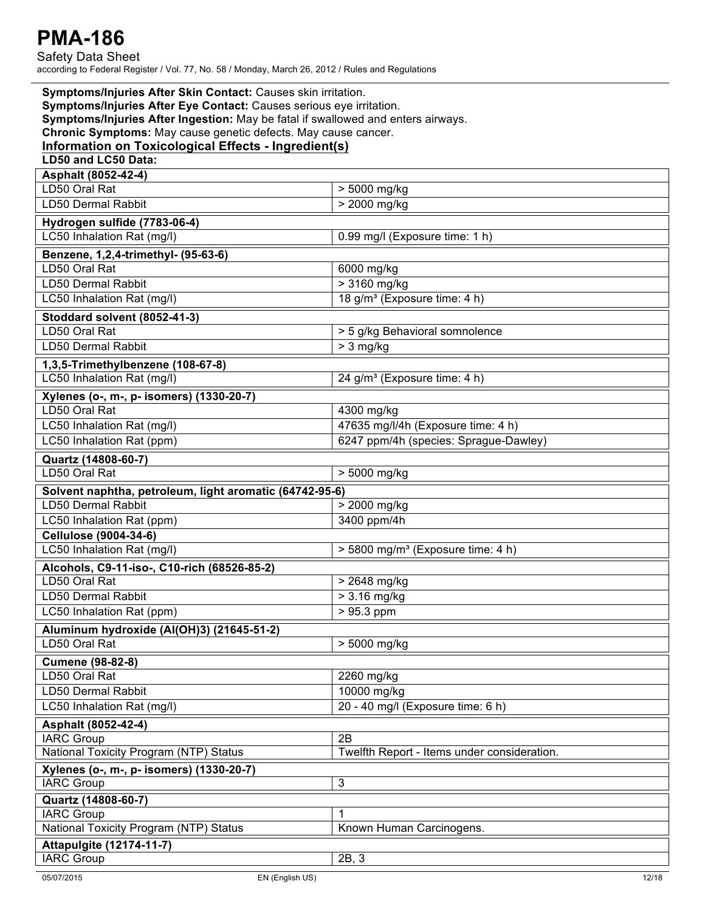| Symptoms/Injuries After Skin Contact: Causes skin irritation.<br>Symptoms/Injuries After Eye Contact: Causes serious eye irritation.<br>Symptoms/Injuries After Ingestion: May be fatal if swallowed and enters airways.<br>Chronic Symptoms: May cause genetic defects. May cause cancer. |                                               |  |
|--------------------------------------------------------------------------------------------------------------------------------------------------------------------------------------------------------------------------------------------------------------------------------------------|-----------------------------------------------|--|
| Information on Toxicological Effects - Ingredient(s)                                                                                                                                                                                                                                       |                                               |  |
| LD50 and LC50 Data:                                                                                                                                                                                                                                                                        |                                               |  |
| Asphalt (8052-42-4)                                                                                                                                                                                                                                                                        |                                               |  |
| LD50 Oral Rat                                                                                                                                                                                                                                                                              | > 5000 mg/kg                                  |  |
| LD50 Dermal Rabbit                                                                                                                                                                                                                                                                         | > 2000 mg/kg                                  |  |
| Hydrogen sulfide (7783-06-4)                                                                                                                                                                                                                                                               |                                               |  |
| LC50 Inhalation Rat (mg/l)                                                                                                                                                                                                                                                                 | 0.99 mg/l (Exposure time: 1 h)                |  |
| Benzene, 1,2,4-trimethyl- (95-63-6)                                                                                                                                                                                                                                                        |                                               |  |
| LD50 Oral Rat                                                                                                                                                                                                                                                                              | 6000 mg/kg                                    |  |
| LD50 Dermal Rabbit                                                                                                                                                                                                                                                                         | > 3160 mg/kg                                  |  |
| LC50 Inhalation Rat (mg/l)                                                                                                                                                                                                                                                                 | 18 g/m <sup>3</sup> (Exposure time: 4 h)      |  |
|                                                                                                                                                                                                                                                                                            |                                               |  |
| Stoddard solvent (8052-41-3)<br>LD50 Oral Rat                                                                                                                                                                                                                                              | > 5 g/kg Behavioral somnolence                |  |
| <b>LD50 Dermal Rabbit</b>                                                                                                                                                                                                                                                                  |                                               |  |
|                                                                                                                                                                                                                                                                                            | $> 3$ mg/kg                                   |  |
| 1,3,5-Trimethylbenzene (108-67-8)                                                                                                                                                                                                                                                          |                                               |  |
| LC50 Inhalation Rat (mg/l)                                                                                                                                                                                                                                                                 | 24 g/m <sup>3</sup> (Exposure time: 4 h)      |  |
| Xylenes (o-, m-, p- isomers) (1330-20-7)                                                                                                                                                                                                                                                   |                                               |  |
| LD50 Oral Rat                                                                                                                                                                                                                                                                              | 4300 mg/kg                                    |  |
| LC50 Inhalation Rat (mg/l)                                                                                                                                                                                                                                                                 | 47635 mg/l/4h (Exposure time: 4 h)            |  |
| LC50 Inhalation Rat (ppm)                                                                                                                                                                                                                                                                  | 6247 ppm/4h (species: Sprague-Dawley)         |  |
| Quartz (14808-60-7)                                                                                                                                                                                                                                                                        |                                               |  |
| LD50 Oral Rat                                                                                                                                                                                                                                                                              | > 5000 mg/kg                                  |  |
| Solvent naphtha, petroleum, light aromatic (64742-95-6)                                                                                                                                                                                                                                    |                                               |  |
| LD50 Dermal Rabbit                                                                                                                                                                                                                                                                         | > 2000 mg/kg                                  |  |
| LC50 Inhalation Rat (ppm)                                                                                                                                                                                                                                                                  | 3400 ppm/4h                                   |  |
| <b>Cellulose (9004-34-6)</b>                                                                                                                                                                                                                                                               |                                               |  |
| LC50 Inhalation Rat (mg/l)                                                                                                                                                                                                                                                                 | > 5800 mg/m <sup>3</sup> (Exposure time: 4 h) |  |
| Alcohols, C9-11-iso-, C10-rich (68526-85-2)                                                                                                                                                                                                                                                |                                               |  |
| LD50 Oral Rat                                                                                                                                                                                                                                                                              | > 2648 mg/kg                                  |  |
| LD50 Dermal Rabbit                                                                                                                                                                                                                                                                         | $> 3.16$ mg/kg                                |  |
| LC50 Inhalation Rat (ppm)                                                                                                                                                                                                                                                                  | $>95.3$ ppm                                   |  |
| Aluminum hydroxide (Al(OH)3) (21645-51-2)                                                                                                                                                                                                                                                  |                                               |  |
| LD50 Oral Rat                                                                                                                                                                                                                                                                              | > 5000 mg/kg                                  |  |
| <b>Cumene (98-82-8)</b>                                                                                                                                                                                                                                                                    |                                               |  |
| LD50 Oral Rat                                                                                                                                                                                                                                                                              | 2260 mg/kg                                    |  |
| LD50 Dermal Rabbit                                                                                                                                                                                                                                                                         | 10000 mg/kg                                   |  |
| LC50 Inhalation Rat (mg/l)                                                                                                                                                                                                                                                                 | 20 - 40 mg/l (Exposure time: 6 h)             |  |
| Asphalt (8052-42-4)                                                                                                                                                                                                                                                                        |                                               |  |
| <b>IARC Group</b>                                                                                                                                                                                                                                                                          | $\overline{2B}$                               |  |
| National Toxicity Program (NTP) Status                                                                                                                                                                                                                                                     | Twelfth Report - Items under consideration.   |  |
| Xylenes (o-, m-, p- isomers) (1330-20-7)                                                                                                                                                                                                                                                   |                                               |  |
| <b>IARC Group</b>                                                                                                                                                                                                                                                                          | $\mathbf{3}$                                  |  |
| Quartz (14808-60-7)                                                                                                                                                                                                                                                                        |                                               |  |
| <b>IARC Group</b>                                                                                                                                                                                                                                                                          | 1                                             |  |
| National Toxicity Program (NTP) Status                                                                                                                                                                                                                                                     | Known Human Carcinogens.                      |  |
| <b>Attapulgite (12174-11-7)</b>                                                                                                                                                                                                                                                            |                                               |  |
| <b>IARC Group</b>                                                                                                                                                                                                                                                                          | 2B, 3                                         |  |
| 05/07/2015<br>EN (English US)                                                                                                                                                                                                                                                              | 12/18                                         |  |
|                                                                                                                                                                                                                                                                                            |                                               |  |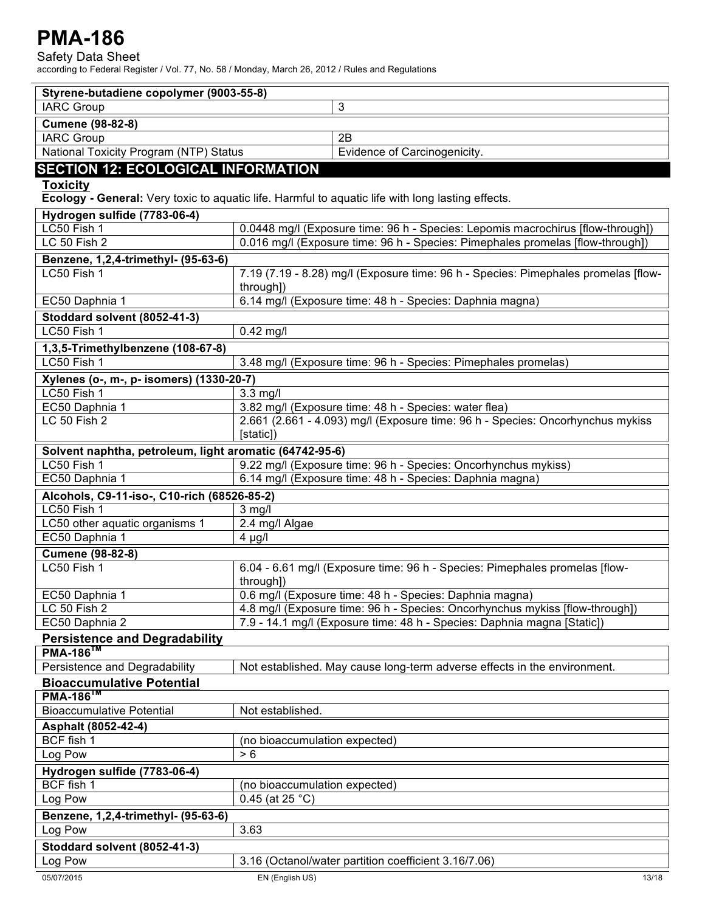Safety Data Sheet

| Styrene-butadiene copolymer (9003-55-8)                 |                                                                                                   |
|---------------------------------------------------------|---------------------------------------------------------------------------------------------------|
| <b>IARC Group</b>                                       | 3                                                                                                 |
| <b>Cumene (98-82-8)</b>                                 |                                                                                                   |
| <b>IARC Group</b>                                       | 2B                                                                                                |
| National Toxicity Program (NTP) Status                  | Evidence of Carcinogenicity.                                                                      |
| <b>SECTION 12: ECOLOGICAL INFORMATION</b>               |                                                                                                   |
| Toxicity                                                |                                                                                                   |
|                                                         | Ecology - General: Very toxic to aquatic life. Harmful to aquatic life with long lasting effects. |
| Hydrogen sulfide (7783-06-4)                            |                                                                                                   |
| LC50 Fish 1                                             | 0.0448 mg/l (Exposure time: 96 h - Species: Lepomis macrochirus [flow-through])                   |
| LC 50 Fish 2                                            | 0.016 mg/l (Exposure time: 96 h - Species: Pimephales promelas [flow-through])                    |
|                                                         |                                                                                                   |
| Benzene, 1,2,4-trimethyl- (95-63-6)<br>LC50 Fish 1      | 7.19 (7.19 - 8.28) mg/l (Exposure time: 96 h - Species: Pimephales promelas [flow-                |
|                                                         | through])                                                                                         |
| EC50 Daphnia 1                                          | 6.14 mg/l (Exposure time: 48 h - Species: Daphnia magna)                                          |
|                                                         |                                                                                                   |
| Stoddard solvent (8052-41-3)                            |                                                                                                   |
| LC50 Fish 1                                             | $0.42$ mg/l                                                                                       |
| 1,3,5-Trimethylbenzene (108-67-8)                       |                                                                                                   |
| LC50 Fish 1                                             | 3.48 mg/l (Exposure time: 96 h - Species: Pimephales promelas)                                    |
| Xylenes (o-, m-, p- isomers) (1330-20-7)                |                                                                                                   |
| LC50 Fish 1                                             | $3.3$ mg/l                                                                                        |
| EC50 Daphnia 1                                          | 3.82 mg/l (Exposure time: 48 h - Species: water flea)                                             |
| LC 50 Fish 2                                            | 2.661 (2.661 - 4.093) mg/l (Exposure time: 96 h - Species: Oncorhynchus mykiss                    |
|                                                         | [static])                                                                                         |
| Solvent naphtha, petroleum, light aromatic (64742-95-6) |                                                                                                   |
| LC50 Fish 1                                             | 9.22 mg/l (Exposure time: 96 h - Species: Oncorhynchus mykiss)                                    |
| EC50 Daphnia 1                                          | 6.14 mg/l (Exposure time: 48 h - Species: Daphnia magna)                                          |
| Alcohols, C9-11-iso-, C10-rich (68526-85-2)             |                                                                                                   |
| LC50 Fish 1                                             | $3$ mg/l                                                                                          |
| LC50 other aquatic organisms 1                          | 2.4 mg/l Algae                                                                                    |
| EC50 Daphnia 1                                          | $4 \mu g/l$                                                                                       |
| <b>Cumene (98-82-8)</b>                                 |                                                                                                   |
| LC50 Fish 1                                             | 6.04 - 6.61 mg/l (Exposure time: 96 h - Species: Pimephales promelas [flow-<br>through])          |
| EC50 Daphnia 1                                          | 0.6 mg/l (Exposure time: 48 h - Species: Daphnia magna)                                           |
| LC 50 Fish 2                                            | 4.8 mg/l (Exposure time: 96 h - Species: Oncorhynchus mykiss [flow-through])                      |
| EC50 Daphnia 2                                          | 7.9 - 14.1 mg/l (Exposure time: 48 h - Species: Daphnia magna [Static])                           |
| <b>Persistence and Degradability</b>                    |                                                                                                   |
| <b>PMA-186<sup>1M</sup></b>                             |                                                                                                   |
| Persistence and Degradability                           | Not established. May cause long-term adverse effects in the environment.                          |
| <b>Bioaccumulative Potential</b>                        |                                                                                                   |
| $PMA-186^{TM}$                                          |                                                                                                   |
| <b>Bioaccumulative Potential</b>                        | Not established.                                                                                  |
| Asphalt (8052-42-4)                                     |                                                                                                   |
| BCF fish 1                                              | (no bioaccumulation expected)                                                                     |
| Log Pow                                                 | > 6                                                                                               |
| Hydrogen sulfide (7783-06-4)                            |                                                                                                   |
| BCF fish 1                                              | (no bioaccumulation expected)                                                                     |
| Log Pow                                                 | $0.45$ (at 25 °C)                                                                                 |
| Benzene, 1,2,4-trimethyl- (95-63-6)                     |                                                                                                   |
| Log Pow                                                 | 3.63                                                                                              |
|                                                         |                                                                                                   |
| Stoddard solvent (8052-41-3)                            |                                                                                                   |
| Log Pow                                                 | 3.16 (Octanol/water partition coefficient 3.16/7.06)                                              |
| 05/07/2015                                              | EN (English US)<br>13/18                                                                          |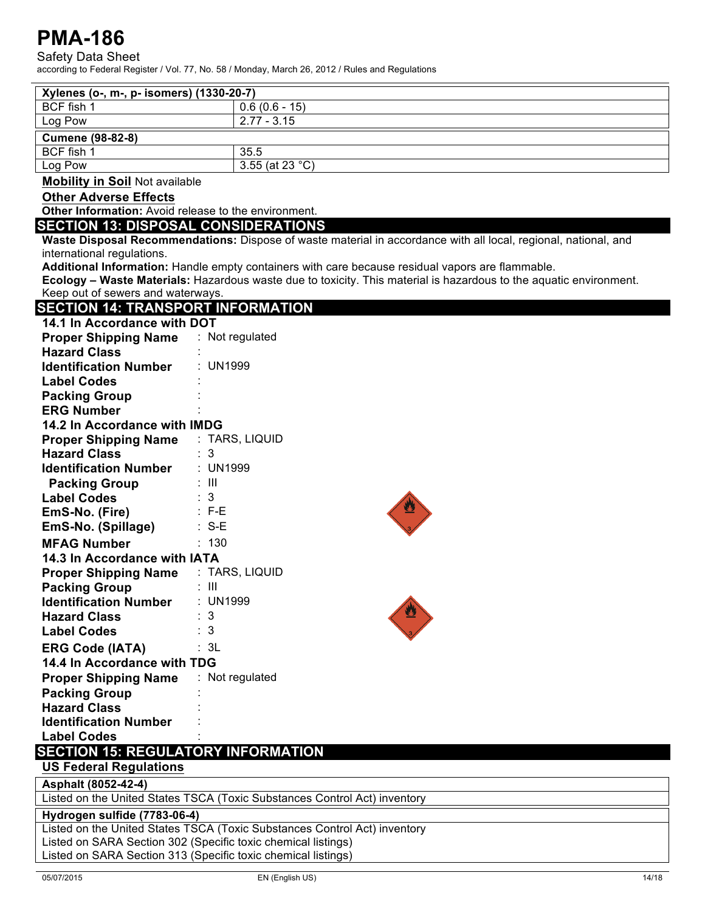Safety Data Sheet

according to Federal Register / Vol. 77, No. 58 / Monday, March 26, 2012 / Rules and Regulations

| Xylenes (o-, m-, p- isomers) (1330-20-7)                                  |                                                                                                                    |  |
|---------------------------------------------------------------------------|--------------------------------------------------------------------------------------------------------------------|--|
| BCF fish 1                                                                | $0.6(0.6 - 15)$                                                                                                    |  |
| Log Pow                                                                   | $2.77 - 3.15$                                                                                                      |  |
| <b>Cumene (98-82-8)</b>                                                   |                                                                                                                    |  |
| BCF fish 1                                                                | 35.5                                                                                                               |  |
| Log Pow                                                                   | 3.55 (at 23 $^{\circ}$ C)                                                                                          |  |
| <b>Mobility in Soil Not available</b>                                     |                                                                                                                    |  |
| <b>Other Adverse Effects</b>                                              |                                                                                                                    |  |
| Other Information: Avoid release to the environment.                      |                                                                                                                    |  |
| <b>SECTION 13: DISPOSAL CONSIDERATIONS</b>                                |                                                                                                                    |  |
|                                                                           | Waste Disposal Recommendations: Dispose of waste material in accordance with all local, regional, national, and    |  |
| international regulations.                                                | Additional Information: Handle empty containers with care because residual vapors are flammable.                   |  |
|                                                                           | Ecology - Waste Materials: Hazardous waste due to toxicity. This material is hazardous to the aquatic environment. |  |
| Keep out of sewers and waterways.                                         |                                                                                                                    |  |
| <b>SECTION 14: TRANSPORT INFORMATION</b>                                  |                                                                                                                    |  |
| 14.1 In Accordance with DOT                                               |                                                                                                                    |  |
| <b>Proper Shipping Name</b>                                               | : Not regulated                                                                                                    |  |
| <b>Hazard Class</b>                                                       |                                                                                                                    |  |
| <b>Identification Number</b>                                              | : UN1999                                                                                                           |  |
| <b>Label Codes</b>                                                        |                                                                                                                    |  |
| <b>Packing Group</b>                                                      |                                                                                                                    |  |
| <b>ERG Number</b>                                                         |                                                                                                                    |  |
| 14.2 In Accordance with IMDG                                              |                                                                                                                    |  |
| <b>Proper Shipping Name</b>                                               | : TARS, LIQUID                                                                                                     |  |
| <b>Hazard Class</b>                                                       | : 3                                                                                                                |  |
| <b>Identification Number</b>                                              | : UN1999                                                                                                           |  |
| <b>Packing Group</b>                                                      | : III                                                                                                              |  |
| <b>Label Codes</b>                                                        | $\therefore$ 3                                                                                                     |  |
| EmS-No. (Fire)                                                            | $\therefore$ F-E                                                                                                   |  |
| EmS-No. (Spillage)                                                        | $: S-E$                                                                                                            |  |
| <b>MFAG Number</b>                                                        | : 130                                                                                                              |  |
| 14.3 In Accordance with IATA                                              |                                                                                                                    |  |
| <b>Proper Shipping Name</b>                                               | : TARS, LIQUID                                                                                                     |  |
| <b>Packing Group</b>                                                      | : III                                                                                                              |  |
| <b>Identification Number</b>                                              | : UN1999                                                                                                           |  |
| <b>Hazard Class</b>                                                       | : 3                                                                                                                |  |
| <b>Label Codes</b>                                                        | : 3                                                                                                                |  |
| <b>ERG Code (IATA)</b>                                                    | : 3L                                                                                                               |  |
| 14.4 In Accordance with TDG                                               |                                                                                                                    |  |
| <b>Proper Shipping Name</b>                                               | : Not regulated                                                                                                    |  |
| <b>Packing Group</b>                                                      |                                                                                                                    |  |
| <b>Hazard Class</b>                                                       |                                                                                                                    |  |
| <b>Identification Number</b>                                              |                                                                                                                    |  |
| <b>Label Codes</b>                                                        |                                                                                                                    |  |
| <b>SECTION 15: REGULATORY INFORMATION</b>                                 |                                                                                                                    |  |
| <b>US Federal Regulations</b>                                             |                                                                                                                    |  |
| Asphalt (8052-42-4)                                                       |                                                                                                                    |  |
| Listed on the United States TSCA (Toxic Substances Control Act) inventory |                                                                                                                    |  |
| Hydrogen sulfide (7783-06-4)                                              |                                                                                                                    |  |
|                                                                           | Listed on the United States TSCA (Toxic Substances Control Act) inventory                                          |  |
| Listed on SARA Section 302 (Specific toxic chemical listings)             |                                                                                                                    |  |

Listed on SARA Section 313 (Specific toxic chemical listings)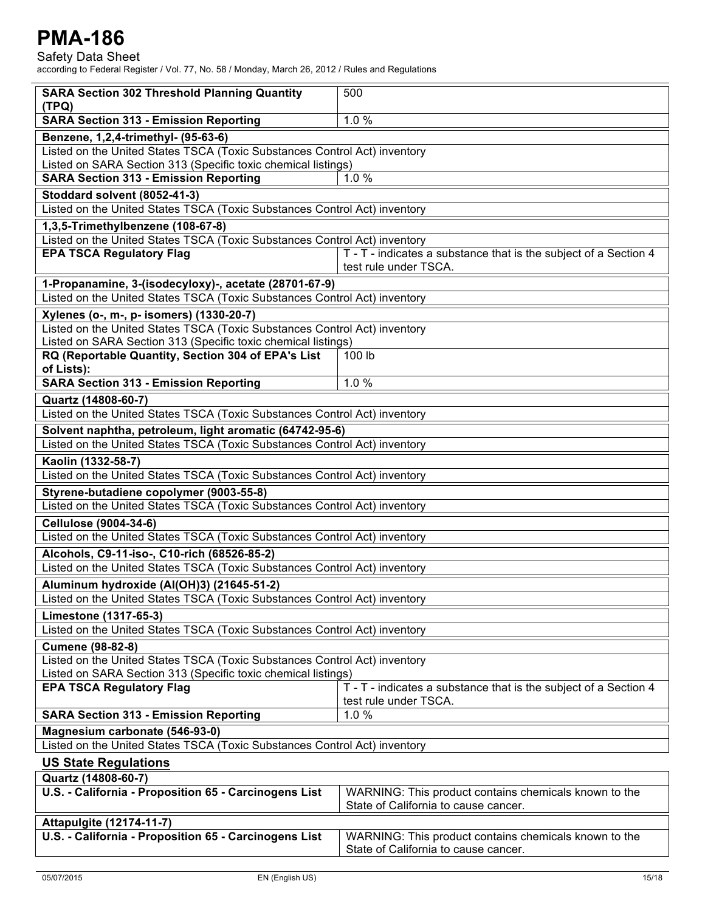| <b>SARA Section 302 Threshold Planning Quantity</b><br>(TPQ)                                                                               | 500                                                                                           |  |
|--------------------------------------------------------------------------------------------------------------------------------------------|-----------------------------------------------------------------------------------------------|--|
| <b>SARA Section 313 - Emission Reporting</b>                                                                                               | 1.0%                                                                                          |  |
| Benzene, 1,2,4-trimethyl- (95-63-6)                                                                                                        |                                                                                               |  |
| Listed on the United States TSCA (Toxic Substances Control Act) inventory<br>Listed on SARA Section 313 (Specific toxic chemical listings) |                                                                                               |  |
| 1.0%<br><b>SARA Section 313 - Emission Reporting</b>                                                                                       |                                                                                               |  |
| Stoddard solvent (8052-41-3)                                                                                                               |                                                                                               |  |
| Listed on the United States TSCA (Toxic Substances Control Act) inventory                                                                  |                                                                                               |  |
| 1,3,5-Trimethylbenzene (108-67-8)                                                                                                          |                                                                                               |  |
| Listed on the United States TSCA (Toxic Substances Control Act) inventory                                                                  |                                                                                               |  |
| <b>EPA TSCA Regulatory Flag</b>                                                                                                            | T - T - indicates a substance that is the subject of a Section 4<br>test rule under TSCA.     |  |
| 1-Propanamine, 3-(isodecyloxy)-, acetate (28701-67-9)                                                                                      |                                                                                               |  |
| Listed on the United States TSCA (Toxic Substances Control Act) inventory                                                                  |                                                                                               |  |
| Xylenes (o-, m-, p- isomers) (1330-20-7)                                                                                                   |                                                                                               |  |
| Listed on the United States TSCA (Toxic Substances Control Act) inventory<br>Listed on SARA Section 313 (Specific toxic chemical listings) |                                                                                               |  |
| RQ (Reportable Quantity, Section 304 of EPA's List<br>of Lists):                                                                           | 100 lb                                                                                        |  |
| <b>SARA Section 313 - Emission Reporting</b>                                                                                               | 1.0%                                                                                          |  |
| Quartz (14808-60-7)                                                                                                                        |                                                                                               |  |
| Listed on the United States TSCA (Toxic Substances Control Act) inventory                                                                  |                                                                                               |  |
| Solvent naphtha, petroleum, light aromatic (64742-95-6)                                                                                    |                                                                                               |  |
| Listed on the United States TSCA (Toxic Substances Control Act) inventory                                                                  |                                                                                               |  |
| Kaolin (1332-58-7)                                                                                                                         |                                                                                               |  |
| Listed on the United States TSCA (Toxic Substances Control Act) inventory                                                                  |                                                                                               |  |
| Styrene-butadiene copolymer (9003-55-8)                                                                                                    |                                                                                               |  |
| Listed on the United States TSCA (Toxic Substances Control Act) inventory                                                                  |                                                                                               |  |
| Cellulose (9004-34-6)                                                                                                                      |                                                                                               |  |
| Listed on the United States TSCA (Toxic Substances Control Act) inventory                                                                  |                                                                                               |  |
| Alcohols, C9-11-iso-, C10-rich (68526-85-2)                                                                                                |                                                                                               |  |
| Listed on the United States TSCA (Toxic Substances Control Act) inventory                                                                  |                                                                                               |  |
| Aluminum hydroxide (Al(OH)3) (21645-51-2)<br>Listed on the United States TSCA (Toxic Substances Control Act) inventory                     |                                                                                               |  |
|                                                                                                                                            |                                                                                               |  |
| Limestone (1317-65-3)<br>Listed on the United States TSCA (Toxic Substances Control Act) inventory                                         |                                                                                               |  |
| <b>Cumene (98-82-8)</b>                                                                                                                    |                                                                                               |  |
| Listed on the United States TSCA (Toxic Substances Control Act) inventory                                                                  |                                                                                               |  |
| Listed on SARA Section 313 (Specific toxic chemical listings)                                                                              |                                                                                               |  |
| <b>EPA TSCA Regulatory Flag</b>                                                                                                            | T - T - indicates a substance that is the subject of a Section 4<br>test rule under TSCA.     |  |
| <b>SARA Section 313 - Emission Reporting</b>                                                                                               | 1.0%                                                                                          |  |
| Magnesium carbonate (546-93-0)                                                                                                             |                                                                                               |  |
| Listed on the United States TSCA (Toxic Substances Control Act) inventory                                                                  |                                                                                               |  |
| <b>US State Regulations</b>                                                                                                                |                                                                                               |  |
| Quartz (14808-60-7)                                                                                                                        |                                                                                               |  |
| U.S. - California - Proposition 65 - Carcinogens List                                                                                      | WARNING: This product contains chemicals known to the<br>State of California to cause cancer. |  |
| <b>Attapulgite (12174-11-7)</b>                                                                                                            |                                                                                               |  |
| U.S. - California - Proposition 65 - Carcinogens List<br>WARNING: This product contains chemicals known to the                             |                                                                                               |  |
|                                                                                                                                            | State of California to cause cancer.                                                          |  |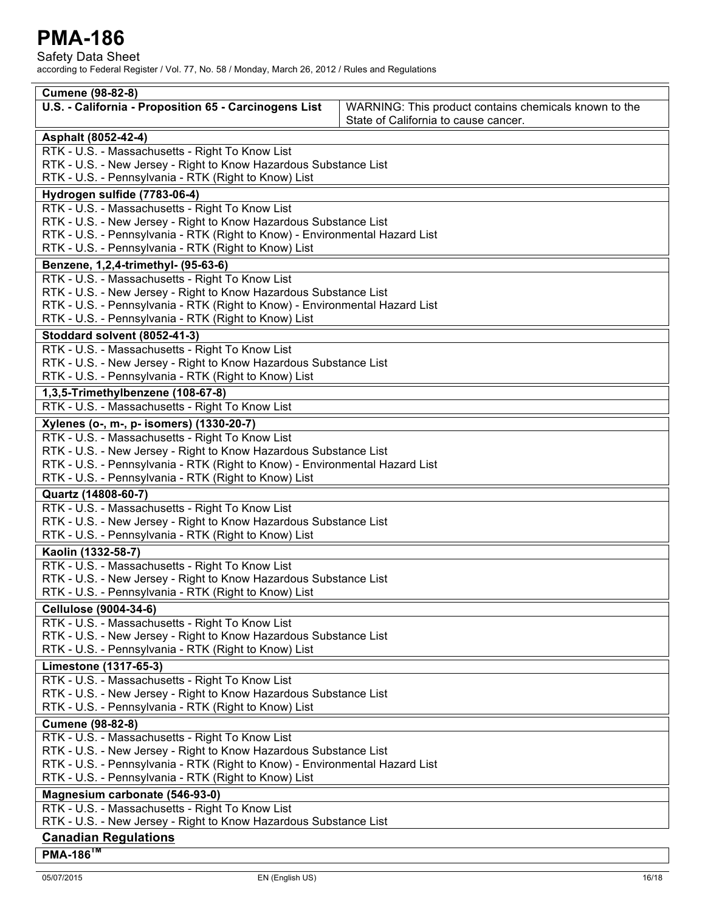Safety Data Sheet

| <b>Cumene (98-82-8)</b>                                                                                                             |                                                                                               |  |
|-------------------------------------------------------------------------------------------------------------------------------------|-----------------------------------------------------------------------------------------------|--|
| U.S. - California - Proposition 65 - Carcinogens List                                                                               | WARNING: This product contains chemicals known to the<br>State of California to cause cancer. |  |
| Asphalt (8052-42-4)                                                                                                                 |                                                                                               |  |
| RTK - U.S. - Massachusetts - Right To Know List                                                                                     |                                                                                               |  |
| RTK - U.S. - New Jersey - Right to Know Hazardous Substance List                                                                    |                                                                                               |  |
| RTK - U.S. - Pennsylvania - RTK (Right to Know) List                                                                                |                                                                                               |  |
| Hydrogen sulfide (7783-06-4)                                                                                                        |                                                                                               |  |
| RTK - U.S. - Massachusetts - Right To Know List                                                                                     |                                                                                               |  |
| RTK - U.S. - New Jersey - Right to Know Hazardous Substance List                                                                    |                                                                                               |  |
| RTK - U.S. - Pennsylvania - RTK (Right to Know) - Environmental Hazard List                                                         |                                                                                               |  |
| RTK - U.S. - Pennsylvania - RTK (Right to Know) List                                                                                |                                                                                               |  |
| Benzene, 1,2,4-trimethyl- (95-63-6)                                                                                                 |                                                                                               |  |
| RTK - U.S. - Massachusetts - Right To Know List                                                                                     |                                                                                               |  |
| RTK - U.S. - New Jersey - Right to Know Hazardous Substance List                                                                    |                                                                                               |  |
| RTK - U.S. - Pennsylvania - RTK (Right to Know) - Environmental Hazard List<br>RTK - U.S. - Pennsylvania - RTK (Right to Know) List |                                                                                               |  |
|                                                                                                                                     |                                                                                               |  |
| Stoddard solvent (8052-41-3)<br>RTK - U.S. - Massachusetts - Right To Know List                                                     |                                                                                               |  |
| RTK - U.S. - New Jersey - Right to Know Hazardous Substance List                                                                    |                                                                                               |  |
| RTK - U.S. - Pennsylvania - RTK (Right to Know) List                                                                                |                                                                                               |  |
| 1,3,5-Trimethylbenzene (108-67-8)                                                                                                   |                                                                                               |  |
| RTK - U.S. - Massachusetts - Right To Know List                                                                                     |                                                                                               |  |
| Xylenes (o-, m-, p- isomers) (1330-20-7)                                                                                            |                                                                                               |  |
| RTK - U.S. - Massachusetts - Right To Know List                                                                                     |                                                                                               |  |
| RTK - U.S. - New Jersey - Right to Know Hazardous Substance List                                                                    |                                                                                               |  |
| RTK - U.S. - Pennsylvania - RTK (Right to Know) - Environmental Hazard List                                                         |                                                                                               |  |
| RTK - U.S. - Pennsylvania - RTK (Right to Know) List                                                                                |                                                                                               |  |
| Quartz (14808-60-7)                                                                                                                 |                                                                                               |  |
| RTK - U.S. - Massachusetts - Right To Know List                                                                                     |                                                                                               |  |
| RTK - U.S. - New Jersey - Right to Know Hazardous Substance List                                                                    |                                                                                               |  |
| RTK - U.S. - Pennsylvania - RTK (Right to Know) List                                                                                |                                                                                               |  |
| Kaolin (1332-58-7)                                                                                                                  |                                                                                               |  |
| RTK - U.S. - Massachusetts - Right To Know List                                                                                     |                                                                                               |  |
| RTK - U.S. - New Jersey - Right to Know Hazardous Substance List                                                                    |                                                                                               |  |
| RTK - U.S. - Pennsylvania - RTK (Right to Know) List                                                                                |                                                                                               |  |
| <b>Cellulose (9004-34-6)</b>                                                                                                        |                                                                                               |  |
| RTK - U.S. - Massachusetts - Right To Know List                                                                                     |                                                                                               |  |
| RTK - U.S. - New Jersey - Right to Know Hazardous Substance List                                                                    |                                                                                               |  |
| RTK - U.S. - Pennsylvania - RTK (Right to Know) List                                                                                |                                                                                               |  |
| Limestone (1317-65-3)                                                                                                               |                                                                                               |  |
| RTK - U.S. - Massachusetts - Right To Know List                                                                                     |                                                                                               |  |
| RTK - U.S. - New Jersey - Right to Know Hazardous Substance List                                                                    |                                                                                               |  |
| RTK - U.S. - Pennsylvania - RTK (Right to Know) List<br><b>Cumene (98-82-8)</b>                                                     |                                                                                               |  |
| RTK - U.S. - Massachusetts - Right To Know List                                                                                     |                                                                                               |  |
| RTK - U.S. - New Jersey - Right to Know Hazardous Substance List                                                                    |                                                                                               |  |
| RTK - U.S. - Pennsylvania - RTK (Right to Know) - Environmental Hazard List                                                         |                                                                                               |  |
| RTK - U.S. - Pennsylvania - RTK (Right to Know) List                                                                                |                                                                                               |  |
| Magnesium carbonate (546-93-0)                                                                                                      |                                                                                               |  |
| RTK - U.S. - Massachusetts - Right To Know List                                                                                     |                                                                                               |  |
| RTK - U.S. - New Jersey - Right to Know Hazardous Substance List                                                                    |                                                                                               |  |
| <b>Canadian Regulations</b>                                                                                                         |                                                                                               |  |
| $PMA-186^{TM}$                                                                                                                      |                                                                                               |  |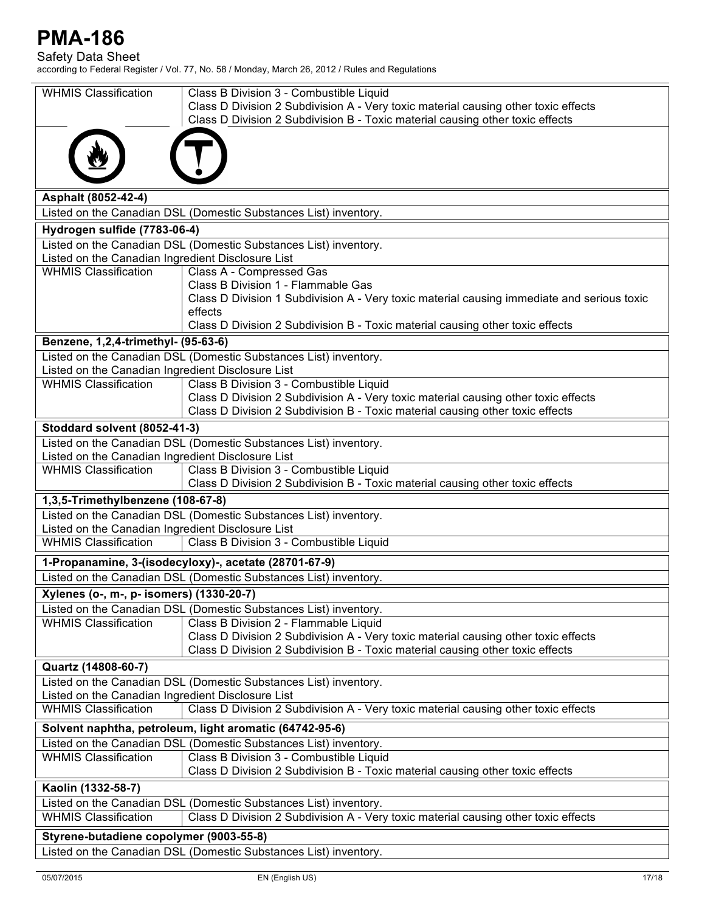Safety Data Sheet

| <b>WHMIS Classification</b>                                                      | Class B Division 3 - Combustible Liquid                                                                                                                             |  |
|----------------------------------------------------------------------------------|---------------------------------------------------------------------------------------------------------------------------------------------------------------------|--|
|                                                                                  | Class D Division 2 Subdivision A - Very toxic material causing other toxic effects<br>Class D Division 2 Subdivision B - Toxic material causing other toxic effects |  |
|                                                                                  |                                                                                                                                                                     |  |
|                                                                                  |                                                                                                                                                                     |  |
|                                                                                  |                                                                                                                                                                     |  |
| Asphalt (8052-42-4)                                                              |                                                                                                                                                                     |  |
|                                                                                  | Listed on the Canadian DSL (Domestic Substances List) inventory.                                                                                                    |  |
| Hydrogen sulfide (7783-06-4)                                                     |                                                                                                                                                                     |  |
|                                                                                  | Listed on the Canadian DSL (Domestic Substances List) inventory.                                                                                                    |  |
| Listed on the Canadian Ingredient Disclosure List<br><b>WHMIS Classification</b> |                                                                                                                                                                     |  |
|                                                                                  | Class A - Compressed Gas<br>Class B Division 1 - Flammable Gas                                                                                                      |  |
|                                                                                  | Class D Division 1 Subdivision A - Very toxic material causing immediate and serious toxic                                                                          |  |
|                                                                                  | effects                                                                                                                                                             |  |
|                                                                                  | Class D Division 2 Subdivision B - Toxic material causing other toxic effects                                                                                       |  |
| Benzene, 1,2,4-trimethyl- (95-63-6)                                              |                                                                                                                                                                     |  |
|                                                                                  | Listed on the Canadian DSL (Domestic Substances List) inventory.                                                                                                    |  |
| Listed on the Canadian Ingredient Disclosure List<br><b>WHMIS Classification</b> | Class B Division 3 - Combustible Liquid                                                                                                                             |  |
|                                                                                  | Class D Division 2 Subdivision A - Very toxic material causing other toxic effects                                                                                  |  |
|                                                                                  | Class D Division 2 Subdivision B - Toxic material causing other toxic effects                                                                                       |  |
| Stoddard solvent (8052-41-3)                                                     |                                                                                                                                                                     |  |
|                                                                                  | Listed on the Canadian DSL (Domestic Substances List) inventory.                                                                                                    |  |
| Listed on the Canadian Ingredient Disclosure List                                |                                                                                                                                                                     |  |
| <b>WHMIS Classification</b>                                                      | Class B Division 3 - Combustible Liquid<br>Class D Division 2 Subdivision B - Toxic material causing other toxic effects                                            |  |
| 1,3,5-Trimethylbenzene (108-67-8)                                                |                                                                                                                                                                     |  |
|                                                                                  | Listed on the Canadian DSL (Domestic Substances List) inventory.                                                                                                    |  |
| Listed on the Canadian Ingredient Disclosure List                                |                                                                                                                                                                     |  |
| <b>WHMIS Classification</b>                                                      | Class B Division 3 - Combustible Liquid                                                                                                                             |  |
|                                                                                  | 1-Propanamine, 3-(isodecyloxy)-, acetate (28701-67-9)                                                                                                               |  |
|                                                                                  | Listed on the Canadian DSL (Domestic Substances List) inventory.                                                                                                    |  |
| Xylenes (o-, m-, p- isomers) (1330-20-7)                                         |                                                                                                                                                                     |  |
|                                                                                  | Listed on the Canadian DSL (Domestic Substances List) inventory.                                                                                                    |  |
| <b>WHMIS Classification</b>                                                      | Class B Division 2 - Flammable Liquid                                                                                                                               |  |
|                                                                                  | Class D Division 2 Subdivision A - Very toxic material causing other toxic effects                                                                                  |  |
|                                                                                  | Class D Division 2 Subdivision B - Toxic material causing other toxic effects                                                                                       |  |
| Quartz (14808-60-7)                                                              |                                                                                                                                                                     |  |
| Listed on the Canadian Ingredient Disclosure List                                | Listed on the Canadian DSL (Domestic Substances List) inventory.                                                                                                    |  |
| <b>WHMIS Classification</b>                                                      | Class D Division 2 Subdivision A - Very toxic material causing other toxic effects                                                                                  |  |
|                                                                                  | Solvent naphtha, petroleum, light aromatic (64742-95-6)                                                                                                             |  |
|                                                                                  | Listed on the Canadian DSL (Domestic Substances List) inventory.                                                                                                    |  |
| <b>WHMIS Classification</b>                                                      | Class B Division 3 - Combustible Liquid                                                                                                                             |  |
|                                                                                  | Class D Division 2 Subdivision B - Toxic material causing other toxic effects                                                                                       |  |
| Kaolin (1332-58-7)                                                               |                                                                                                                                                                     |  |
|                                                                                  | Listed on the Canadian DSL (Domestic Substances List) inventory.                                                                                                    |  |
| <b>WHMIS Classification</b>                                                      | Class D Division 2 Subdivision A - Very toxic material causing other toxic effects                                                                                  |  |
| Styrene-butadiene copolymer (9003-55-8)                                          |                                                                                                                                                                     |  |
| Listed on the Canadian DSL (Domestic Substances List) inventory.                 |                                                                                                                                                                     |  |
|                                                                                  |                                                                                                                                                                     |  |